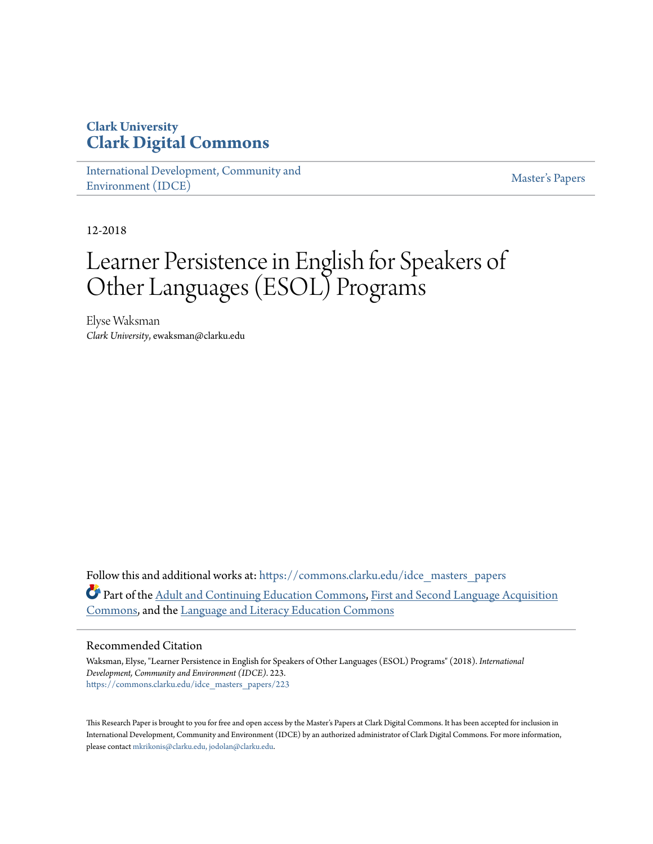# **Clark University [Clark Digital Commons](https://commons.clarku.edu?utm_source=commons.clarku.edu%2Fidce_masters_papers%2F223&utm_medium=PDF&utm_campaign=PDFCoverPages)**

[International Development, Community and](https://commons.clarku.edu/idce_masters_papers?utm_source=commons.clarku.edu%2Fidce_masters_papers%2F223&utm_medium=PDF&utm_campaign=PDFCoverPages) [Environment \(IDCE\)](https://commons.clarku.edu/idce_masters_papers?utm_source=commons.clarku.edu%2Fidce_masters_papers%2F223&utm_medium=PDF&utm_campaign=PDFCoverPages)

[Master's Papers](https://commons.clarku.edu/masters_papers?utm_source=commons.clarku.edu%2Fidce_masters_papers%2F223&utm_medium=PDF&utm_campaign=PDFCoverPages)

12-2018

# Learner Persistence in English for Speakers of Other Languages (ESOL) Programs

Elyse Waksman *Clark University*, ewaksman@clarku.edu

Follow this and additional works at: [https://commons.clarku.edu/idce\\_masters\\_papers](https://commons.clarku.edu/idce_masters_papers?utm_source=commons.clarku.edu%2Fidce_masters_papers%2F223&utm_medium=PDF&utm_campaign=PDFCoverPages) Part of the [Adult and Continuing Education Commons](http://network.bepress.com/hgg/discipline/1375?utm_source=commons.clarku.edu%2Fidce_masters_papers%2F223&utm_medium=PDF&utm_campaign=PDFCoverPages), [First and Second Language Acquisition](http://network.bepress.com/hgg/discipline/377?utm_source=commons.clarku.edu%2Fidce_masters_papers%2F223&utm_medium=PDF&utm_campaign=PDFCoverPages) [Commons,](http://network.bepress.com/hgg/discipline/377?utm_source=commons.clarku.edu%2Fidce_masters_papers%2F223&utm_medium=PDF&utm_campaign=PDFCoverPages) and the [Language and Literacy Education Commons](http://network.bepress.com/hgg/discipline/1380?utm_source=commons.clarku.edu%2Fidce_masters_papers%2F223&utm_medium=PDF&utm_campaign=PDFCoverPages)

#### Recommended Citation

Waksman, Elyse, "Learner Persistence in English for Speakers of Other Languages (ESOL) Programs" (2018). *International Development, Community and Environment (IDCE)*. 223. [https://commons.clarku.edu/idce\\_masters\\_papers/223](https://commons.clarku.edu/idce_masters_papers/223?utm_source=commons.clarku.edu%2Fidce_masters_papers%2F223&utm_medium=PDF&utm_campaign=PDFCoverPages)

This Research Paper is brought to you for free and open access by the Master's Papers at Clark Digital Commons. It has been accepted for inclusion in International Development, Community and Environment (IDCE) by an authorized administrator of Clark Digital Commons. For more information, please contact [mkrikonis@clarku.edu, jodolan@clarku.edu](mailto:mkrikonis@clarku.edu,%20jodolan@clarku.edu).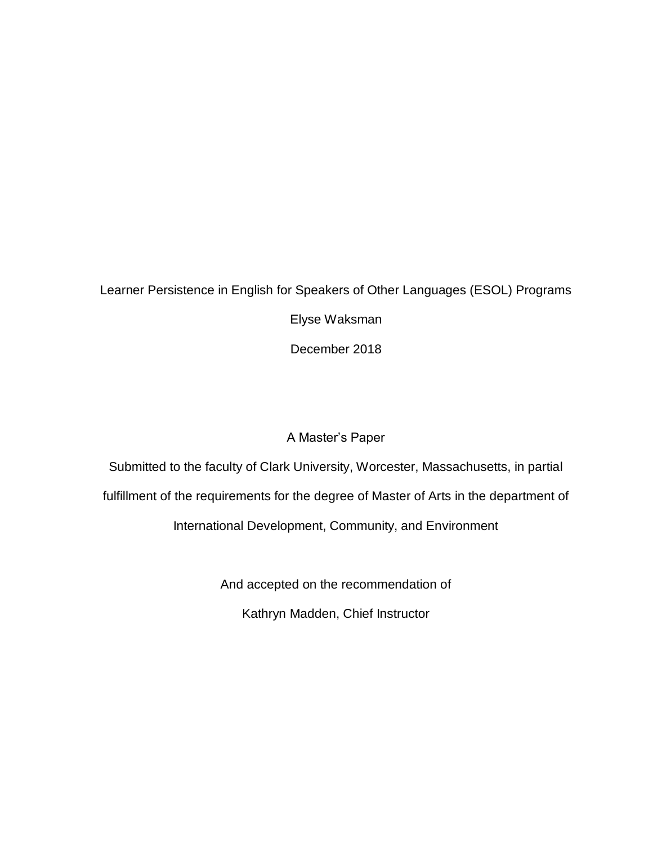# Learner Persistence in English for Speakers of Other Languages (ESOL) Programs Elyse Waksman December 2018

# A Master's Paper

Submitted to the faculty of Clark University, Worcester, Massachusetts, in partial fulfillment of the requirements for the degree of Master of Arts in the department of International Development, Community, and Environment

And accepted on the recommendation of

Kathryn Madden, Chief Instructor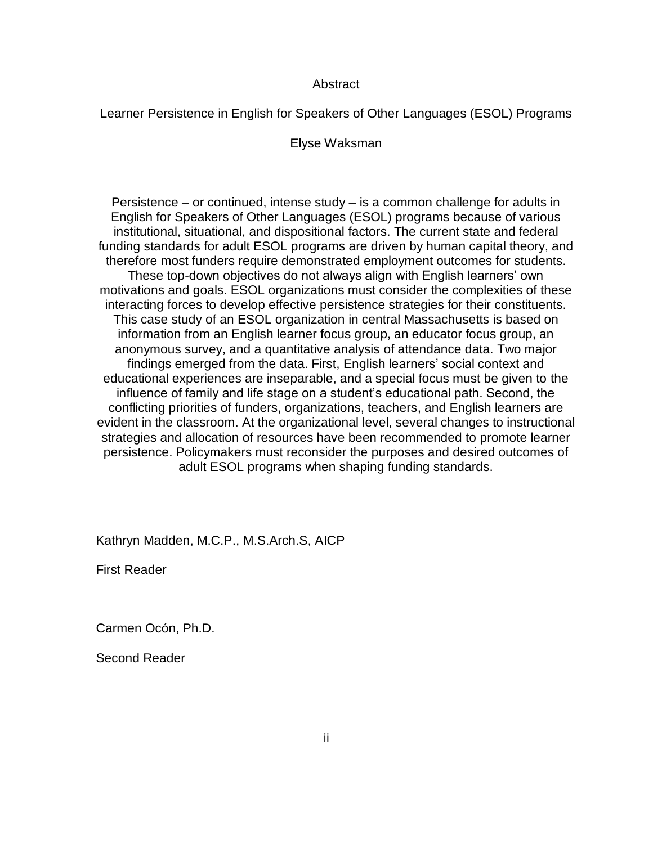#### **Abstract**

Learner Persistence in English for Speakers of Other Languages (ESOL) Programs

Elyse Waksman

Persistence – or continued, intense study – is a common challenge for adults in English for Speakers of Other Languages (ESOL) programs because of various institutional, situational, and dispositional factors. The current state and federal funding standards for adult ESOL programs are driven by human capital theory, and therefore most funders require demonstrated employment outcomes for students. These top-down objectives do not always align with English learners' own motivations and goals. ESOL organizations must consider the complexities of these interacting forces to develop effective persistence strategies for their constituents. This case study of an ESOL organization in central Massachusetts is based on information from an English learner focus group, an educator focus group, an anonymous survey, and a quantitative analysis of attendance data. Two major findings emerged from the data. First, English learners' social context and educational experiences are inseparable, and a special focus must be given to the influence of family and life stage on a student's educational path. Second, the conflicting priorities of funders, organizations, teachers, and English learners are evident in the classroom. At the organizational level, several changes to instructional strategies and allocation of resources have been recommended to promote learner persistence. Policymakers must reconsider the purposes and desired outcomes of adult ESOL programs when shaping funding standards.

Kathryn Madden, M.C.P., M.S.Arch.S, AICP

First Reader

Carmen Ocón, Ph.D.

Second Reader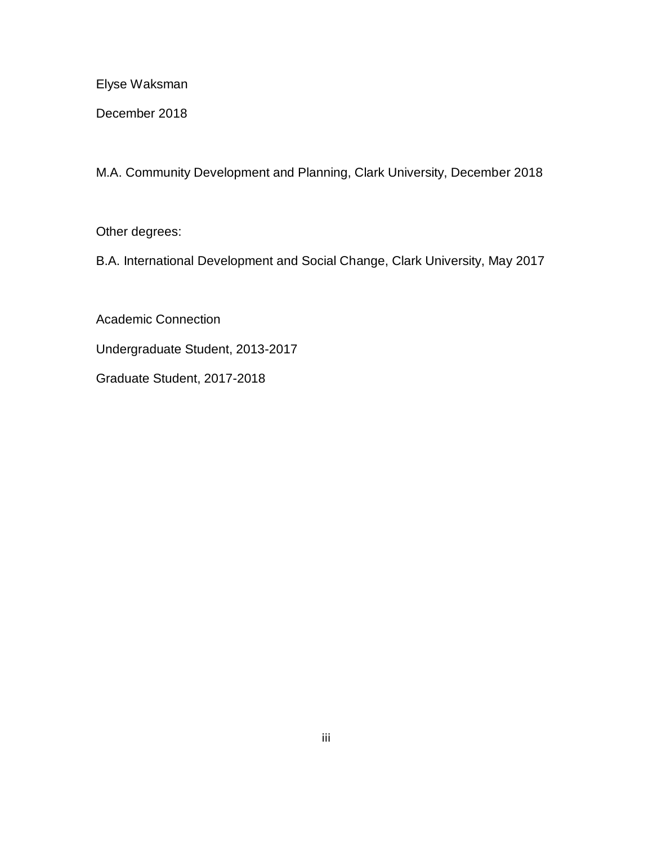Elyse Waksman

December 2018

M.A. Community Development and Planning, Clark University, December 2018

Other degrees:

B.A. International Development and Social Change, Clark University, May 2017

Academic Connection Undergraduate Student, 2013-2017 Graduate Student, 2017-2018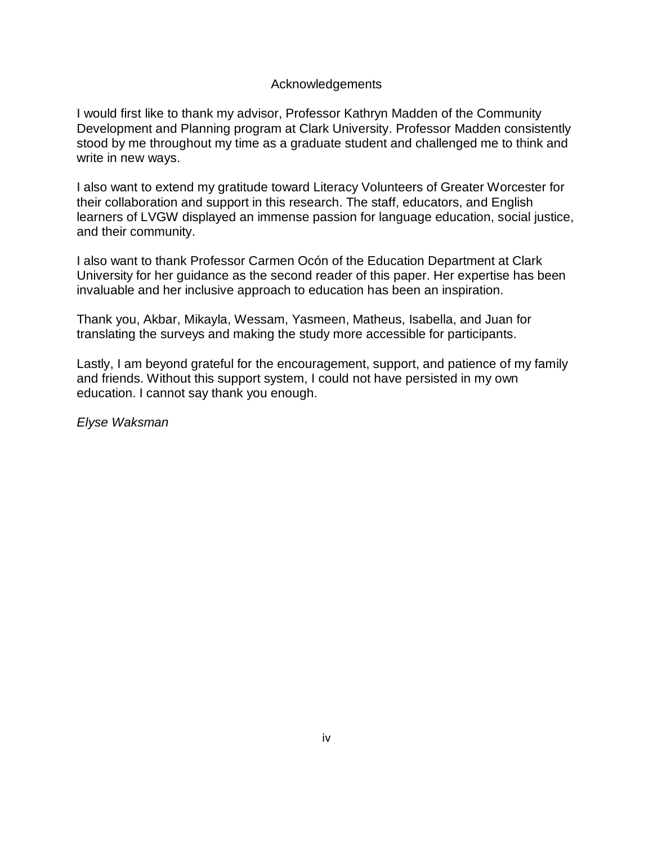### Acknowledgements

I would first like to thank my advisor, Professor Kathryn Madden of the Community Development and Planning program at Clark University. Professor Madden consistently stood by me throughout my time as a graduate student and challenged me to think and write in new ways.

I also want to extend my gratitude toward Literacy Volunteers of Greater Worcester for their collaboration and support in this research. The staff, educators, and English learners of LVGW displayed an immense passion for language education, social justice, and their community.

I also want to thank Professor Carmen Ocón of the Education Department at Clark University for her guidance as the second reader of this paper. Her expertise has been invaluable and her inclusive approach to education has been an inspiration.

Thank you, Akbar, Mikayla, Wessam, Yasmeen, Matheus, Isabella, and Juan for translating the surveys and making the study more accessible for participants.

Lastly, I am beyond grateful for the encouragement, support, and patience of my family and friends. Without this support system, I could not have persisted in my own education. I cannot say thank you enough.

*Elyse Waksman*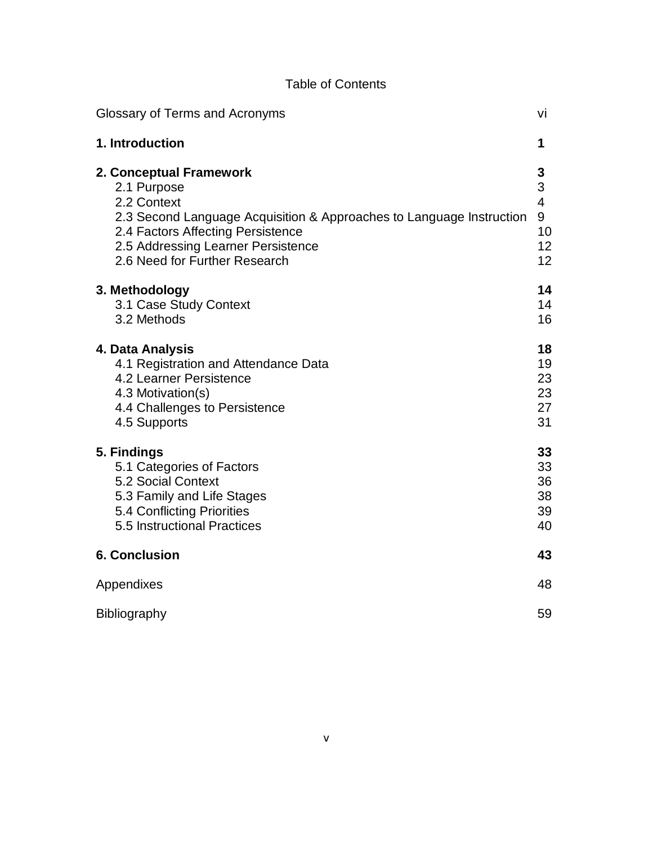| <b>Table of Contents</b> |
|--------------------------|
|--------------------------|

| Glossary of Terms and Acronyms                                                                                                                                                                                                            | vi                                                                     |
|-------------------------------------------------------------------------------------------------------------------------------------------------------------------------------------------------------------------------------------------|------------------------------------------------------------------------|
| 1. Introduction                                                                                                                                                                                                                           | 1                                                                      |
| 2. Conceptual Framework<br>2.1 Purpose<br>2.2 Context<br>2.3 Second Language Acquisition & Approaches to Language Instruction<br>2.4 Factors Affecting Persistence<br>2.5 Addressing Learner Persistence<br>2.6 Need for Further Research | 3<br>3<br>$\overline{\mathcal{A}}$<br>9<br>10<br>12 <sup>2</sup><br>12 |
| 3. Methodology<br>3.1 Case Study Context<br>3.2 Methods                                                                                                                                                                                   | 14<br>14<br>16                                                         |
| 4. Data Analysis<br>4.1 Registration and Attendance Data<br>4.2 Learner Persistence<br>4.3 Motivation(s)<br>4.4 Challenges to Persistence<br>4.5 Supports                                                                                 | 18<br>19<br>23<br>23<br>27<br>31                                       |
| 5. Findings<br>5.1 Categories of Factors<br>5.2 Social Context<br>5.3 Family and Life Stages<br>5.4 Conflicting Priorities<br>5.5 Instructional Practices                                                                                 | 33<br>33<br>36<br>38<br>39<br>40                                       |
| <b>6. Conclusion</b>                                                                                                                                                                                                                      | 43                                                                     |
| Appendixes                                                                                                                                                                                                                                | 48                                                                     |
| Bibliography                                                                                                                                                                                                                              | 59                                                                     |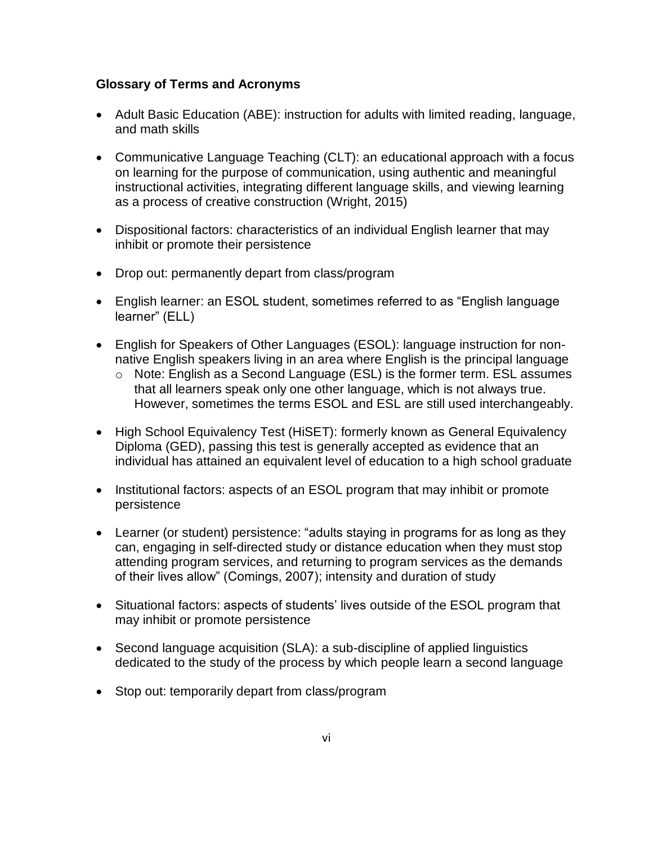# **Glossary of Terms and Acronyms**

- Adult Basic Education (ABE): instruction for adults with limited reading, language, and math skills
- Communicative Language Teaching (CLT): an educational approach with a focus on learning for the purpose of communication, using authentic and meaningful instructional activities, integrating different language skills, and viewing learning as a process of creative construction (Wright, 2015)
- Dispositional factors: characteristics of an individual English learner that may inhibit or promote their persistence
- Drop out: permanently depart from class/program
- English learner: an ESOL student, sometimes referred to as "English language learner" (ELL)
- English for Speakers of Other Languages (ESOL): language instruction for nonnative English speakers living in an area where English is the principal language
	- o Note: English as a Second Language (ESL) is the former term. ESL assumes that all learners speak only one other language, which is not always true. However, sometimes the terms ESOL and ESL are still used interchangeably.
- High School Equivalency Test (HiSET): formerly known as General Equivalency Diploma (GED), passing this test is generally accepted as evidence that an individual has attained an equivalent level of education to a high school graduate
- Institutional factors: aspects of an ESOL program that may inhibit or promote persistence
- Learner (or student) persistence: "adults staying in programs for as long as they can, engaging in self-directed study or distance education when they must stop attending program services, and returning to program services as the demands of their lives allow" (Comings, 2007); intensity and duration of study
- Situational factors: aspects of students' lives outside of the ESOL program that may inhibit or promote persistence
- Second language acquisition (SLA): a sub-discipline of applied linguistics dedicated to the study of the process by which people learn a second language
- Stop out: temporarily depart from class/program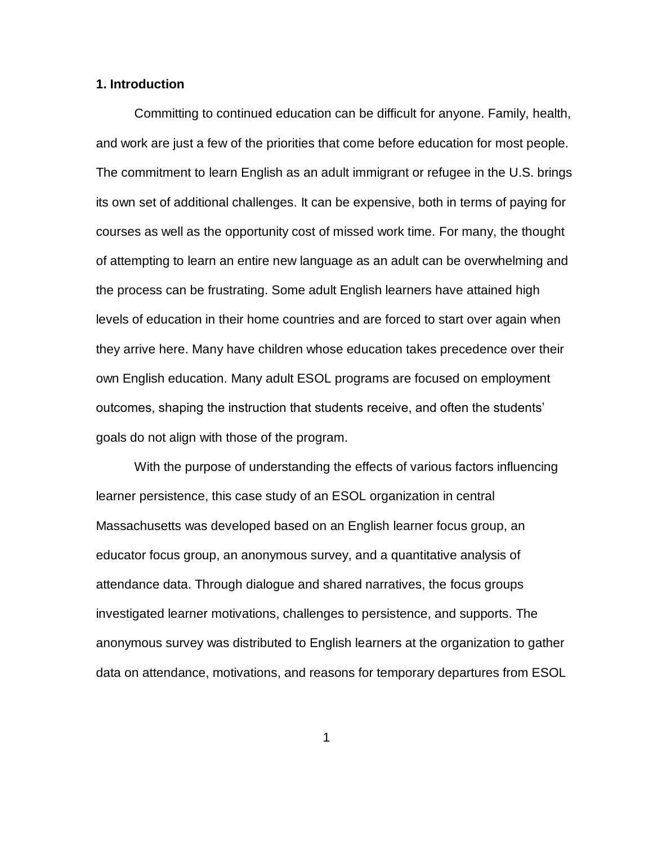#### **1. Introduction**

Committing to continued education can be difficult for anyone. Family, health, and work are just a few of the priorities that come before education for most people. The commitment to learn English as an adult immigrant or refugee in the U.S. brings its own set of additional challenges. It can be expensive, both in terms of paying for courses as well as the opportunity cost of missed work time. For many, the thought of attempting to learn an entire new language as an adult can be overwhelming and the process can be frustrating. Some adult English learners have attained high levels of education in their home countries and are forced to start over again when they arrive here. Many have children whose education takes precedence over their own English education. Many adult ESOL programs are focused on employment outcomes, shaping the instruction that students receive, and often the students' goals do not align with those of the program.

With the purpose of understanding the effects of various factors influencing learner persistence, this case study of an ESOL organization in central Massachusetts was developed based on an English learner focus group, an educator focus group, an anonymous survey, and a quantitative analysis of attendance data. Through dialogue and shared narratives, the focus groups investigated learner motivations, challenges to persistence, and supports. The anonymous survey was distributed to English learners at the organization to gather data on attendance, motivations, and reasons for temporary departures from ESOL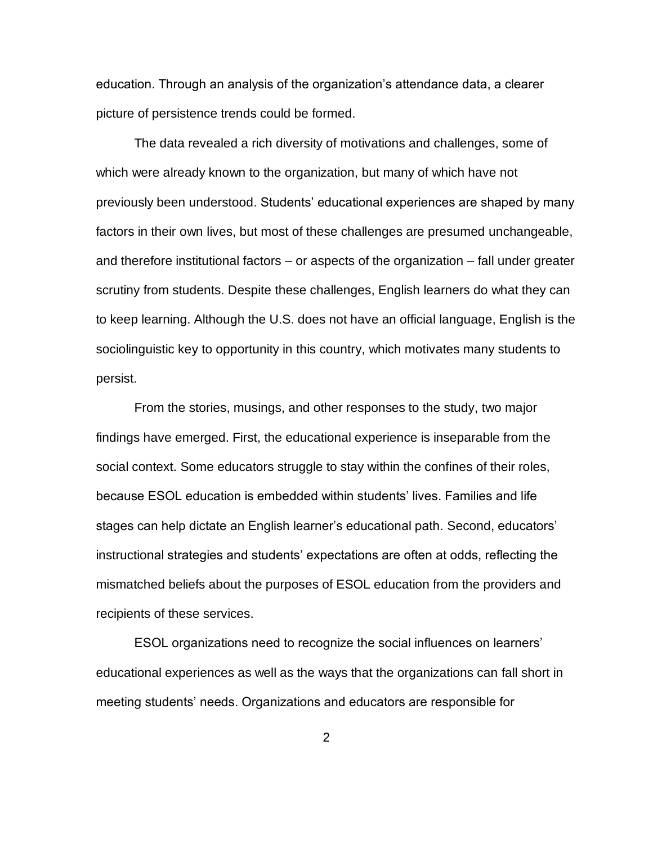education. Through an analysis of the organization's attendance data, a clearer picture of persistence trends could be formed.

The data revealed a rich diversity of motivations and challenges, some of which were already known to the organization, but many of which have not previously been understood. Students' educational experiences are shaped by many factors in their own lives, but most of these challenges are presumed unchangeable, and therefore institutional factors – or aspects of the organization – fall under greater scrutiny from students. Despite these challenges, English learners do what they can to keep learning. Although the U.S. does not have an official language, English is the sociolinguistic key to opportunity in this country, which motivates many students to persist.

From the stories, musings, and other responses to the study, two major findings have emerged. First, the educational experience is inseparable from the social context. Some educators struggle to stay within the confines of their roles, because ESOL education is embedded within students' lives. Families and life stages can help dictate an English learner's educational path. Second, educators' instructional strategies and students' expectations are often at odds, reflecting the mismatched beliefs about the purposes of ESOL education from the providers and recipients of these services.

ESOL organizations need to recognize the social influences on learners' educational experiences as well as the ways that the organizations can fall short in meeting students' needs. Organizations and educators are responsible for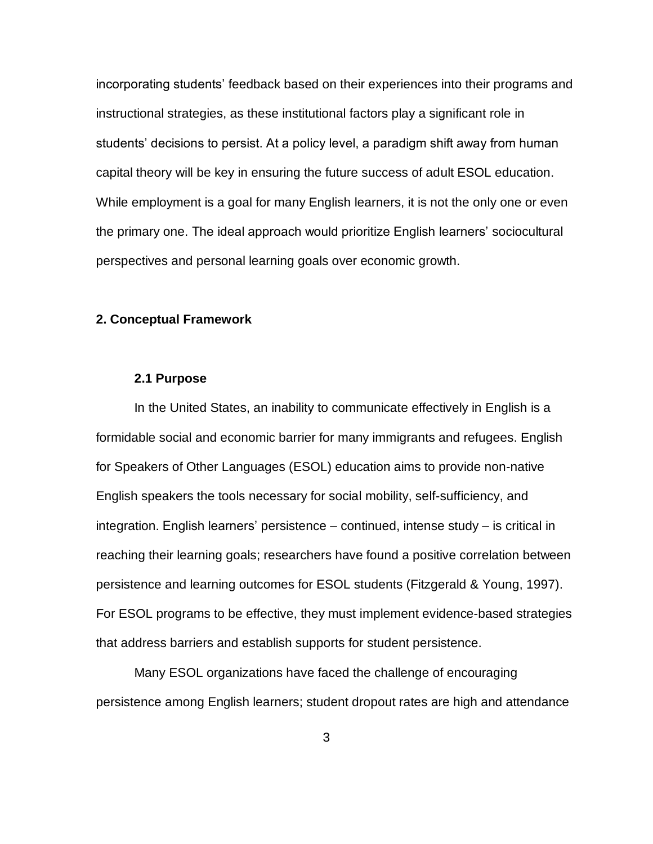incorporating students' feedback based on their experiences into their programs and instructional strategies, as these institutional factors play a significant role in students' decisions to persist. At a policy level, a paradigm shift away from human capital theory will be key in ensuring the future success of adult ESOL education. While employment is a goal for many English learners, it is not the only one or even the primary one. The ideal approach would prioritize English learners' sociocultural perspectives and personal learning goals over economic growth.

#### **2. Conceptual Framework**

#### **2.1 Purpose**

In the United States, an inability to communicate effectively in English is a formidable social and economic barrier for many immigrants and refugees. English for Speakers of Other Languages (ESOL) education aims to provide non-native English speakers the tools necessary for social mobility, self-sufficiency, and integration. English learners' persistence – continued, intense study – is critical in reaching their learning goals; researchers have found a positive correlation between persistence and learning outcomes for ESOL students (Fitzgerald & Young, 1997). For ESOL programs to be effective, they must implement evidence-based strategies that address barriers and establish supports for student persistence.

Many ESOL organizations have faced the challenge of encouraging persistence among English learners; student dropout rates are high and attendance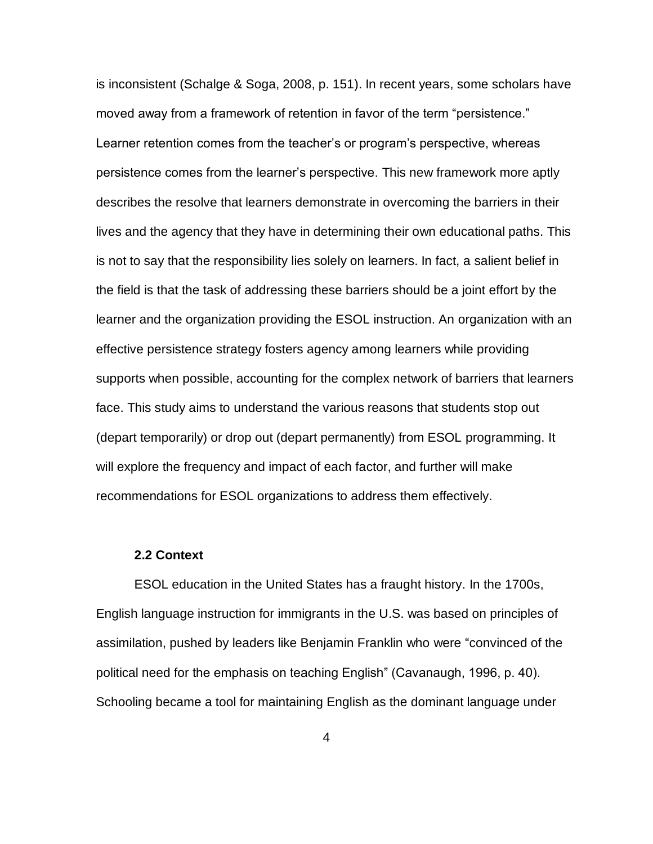is inconsistent (Schalge & Soga, 2008, p. 151). In recent years, some scholars have moved away from a framework of retention in favor of the term "persistence." Learner retention comes from the teacher's or program's perspective, whereas persistence comes from the learner's perspective. This new framework more aptly describes the resolve that learners demonstrate in overcoming the barriers in their lives and the agency that they have in determining their own educational paths. This is not to say that the responsibility lies solely on learners. In fact, a salient belief in the field is that the task of addressing these barriers should be a joint effort by the learner and the organization providing the ESOL instruction. An organization with an effective persistence strategy fosters agency among learners while providing supports when possible, accounting for the complex network of barriers that learners face. This study aims to understand the various reasons that students stop out (depart temporarily) or drop out (depart permanently) from ESOL programming. It will explore the frequency and impact of each factor, and further will make recommendations for ESOL organizations to address them effectively.

#### **2.2 Context**

ESOL education in the United States has a fraught history. In the 1700s, English language instruction for immigrants in the U.S. was based on principles of assimilation, pushed by leaders like Benjamin Franklin who were "convinced of the political need for the emphasis on teaching English" (Cavanaugh, 1996, p. 40). Schooling became a tool for maintaining English as the dominant language under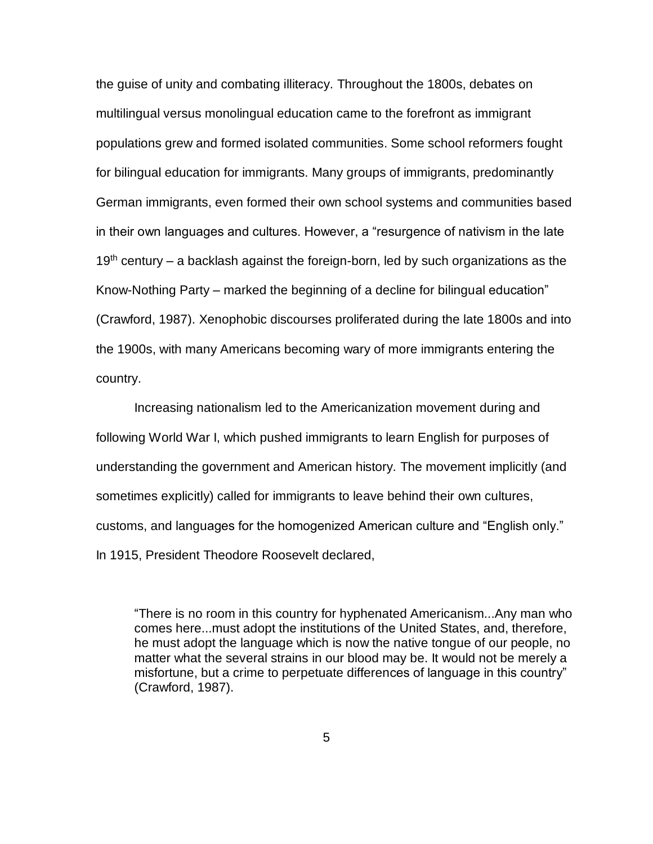the guise of unity and combating illiteracy. Throughout the 1800s, debates on multilingual versus monolingual education came to the forefront as immigrant populations grew and formed isolated communities. Some school reformers fought for bilingual education for immigrants. Many groups of immigrants, predominantly German immigrants, even formed their own school systems and communities based in their own languages and cultures. However, a "resurgence of nativism in the late  $19<sup>th</sup>$  century – a backlash against the foreign-born, led by such organizations as the Know-Nothing Party – marked the beginning of a decline for bilingual education" (Crawford, 1987). Xenophobic discourses proliferated during the late 1800s and into the 1900s, with many Americans becoming wary of more immigrants entering the country.

Increasing nationalism led to the Americanization movement during and following World War I, which pushed immigrants to learn English for purposes of understanding the government and American history. The movement implicitly (and sometimes explicitly) called for immigrants to leave behind their own cultures, customs, and languages for the homogenized American culture and "English only." In 1915, President Theodore Roosevelt declared,

"There is no room in this country for hyphenated Americanism...Any man who comes here...must adopt the institutions of the United States, and, therefore, he must adopt the language which is now the native tongue of our people, no matter what the several strains in our blood may be. It would not be merely a misfortune, but a crime to perpetuate differences of language in this country" (Crawford, 1987).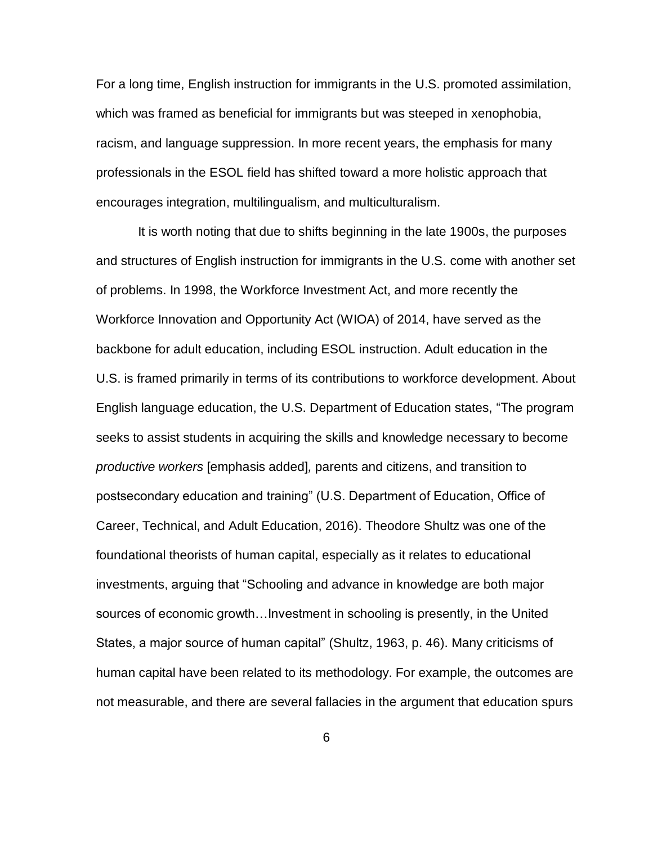For a long time, English instruction for immigrants in the U.S. promoted assimilation, which was framed as beneficial for immigrants but was steeped in xenophobia, racism, and language suppression. In more recent years, the emphasis for many professionals in the ESOL field has shifted toward a more holistic approach that encourages integration, multilingualism, and multiculturalism.

It is worth noting that due to shifts beginning in the late 1900s, the purposes and structures of English instruction for immigrants in the U.S. come with another set of problems. In 1998, the Workforce Investment Act, and more recently the Workforce Innovation and Opportunity Act (WIOA) of 2014, have served as the backbone for adult education, including ESOL instruction. Adult education in the U.S. is framed primarily in terms of its contributions to workforce development. About English language education, the U.S. Department of Education states, "The program seeks to assist students in acquiring the skills and knowledge necessary to become *productive workers* [emphasis added]*,* parents and citizens, and transition to postsecondary education and training" (U.S. Department of Education, Office of Career, Technical, and Adult Education, 2016). Theodore Shultz was one of the foundational theorists of human capital, especially as it relates to educational investments, arguing that "Schooling and advance in knowledge are both major sources of economic growth…Investment in schooling is presently, in the United States, a major source of human capital" (Shultz, 1963, p. 46). Many criticisms of human capital have been related to its methodology. For example, the outcomes are not measurable, and there are several fallacies in the argument that education spurs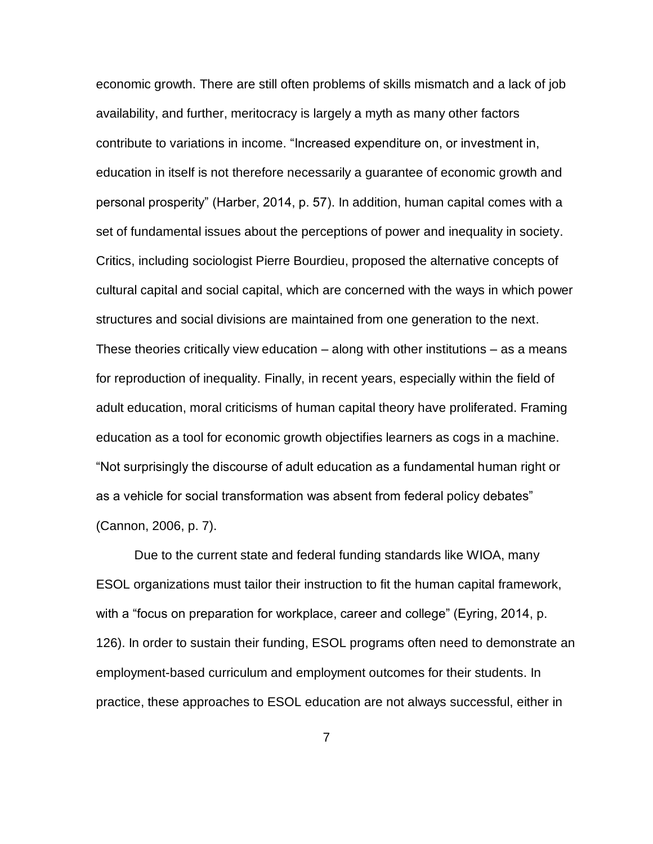economic growth. There are still often problems of skills mismatch and a lack of job availability, and further, meritocracy is largely a myth as many other factors contribute to variations in income. "Increased expenditure on, or investment in, education in itself is not therefore necessarily a guarantee of economic growth and personal prosperity" (Harber, 2014, p. 57). In addition, human capital comes with a set of fundamental issues about the perceptions of power and inequality in society. Critics, including sociologist Pierre Bourdieu, proposed the alternative concepts of cultural capital and social capital, which are concerned with the ways in which power structures and social divisions are maintained from one generation to the next. These theories critically view education – along with other institutions – as a means for reproduction of inequality. Finally, in recent years, especially within the field of adult education, moral criticisms of human capital theory have proliferated. Framing education as a tool for economic growth objectifies learners as cogs in a machine. "Not surprisingly the discourse of adult education as a fundamental human right or as a vehicle for social transformation was absent from federal policy debates" (Cannon, 2006, p. 7).

Due to the current state and federal funding standards like WIOA, many ESOL organizations must tailor their instruction to fit the human capital framework, with a "focus on preparation for workplace, career and college" (Eyring, 2014, p. 126). In order to sustain their funding, ESOL programs often need to demonstrate an employment-based curriculum and employment outcomes for their students. In practice, these approaches to ESOL education are not always successful, either in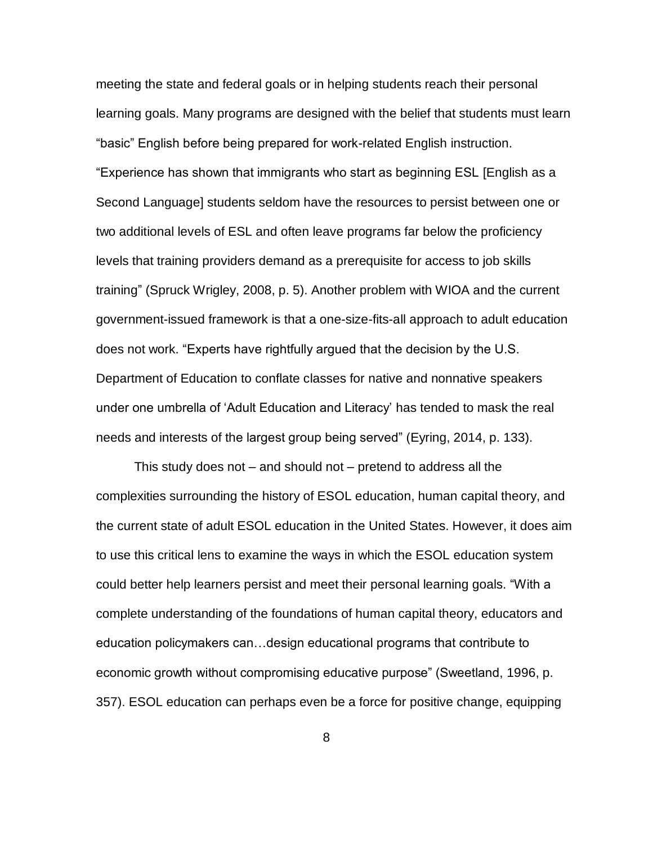meeting the state and federal goals or in helping students reach their personal learning goals. Many programs are designed with the belief that students must learn "basic" English before being prepared for work-related English instruction. "Experience has shown that immigrants who start as beginning ESL [English as a Second Language] students seldom have the resources to persist between one or two additional levels of ESL and often leave programs far below the proficiency levels that training providers demand as a prerequisite for access to job skills training" (Spruck Wrigley, 2008, p. 5). Another problem with WIOA and the current government-issued framework is that a one-size-fits-all approach to adult education does not work. "Experts have rightfully argued that the decision by the U.S. Department of Education to conflate classes for native and nonnative speakers under one umbrella of 'Adult Education and Literacy' has tended to mask the real needs and interests of the largest group being served" (Eyring, 2014, p. 133).

This study does not – and should not – pretend to address all the complexities surrounding the history of ESOL education, human capital theory, and the current state of adult ESOL education in the United States. However, it does aim to use this critical lens to examine the ways in which the ESOL education system could better help learners persist and meet their personal learning goals. "With a complete understanding of the foundations of human capital theory, educators and education policymakers can…design educational programs that contribute to economic growth without compromising educative purpose" (Sweetland, 1996, p. 357). ESOL education can perhaps even be a force for positive change, equipping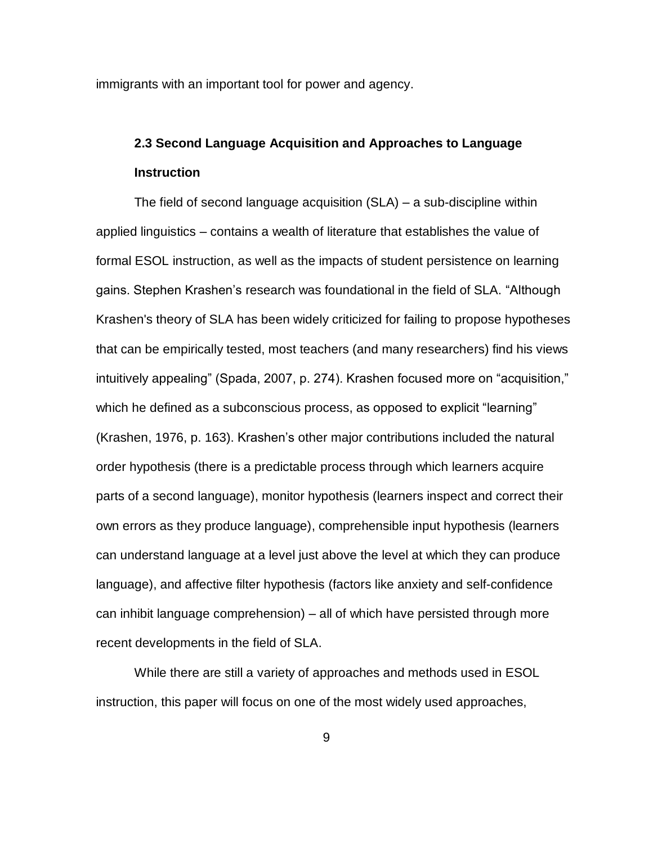immigrants with an important tool for power and agency.

# **2.3 Second Language Acquisition and Approaches to Language Instruction**

The field of second language acquisition (SLA) – a sub-discipline within applied linguistics – contains a wealth of literature that establishes the value of formal ESOL instruction, as well as the impacts of student persistence on learning gains. Stephen Krashen's research was foundational in the field of SLA. "Although Krashen's theory of SLA has been widely criticized for failing to propose hypotheses that can be empirically tested, most teachers (and many researchers) find his views intuitively appealing" (Spada, 2007, p. 274). Krashen focused more on "acquisition," which he defined as a subconscious process, as opposed to explicit "learning" (Krashen, 1976, p. 163). Krashen's other major contributions included the natural order hypothesis (there is a predictable process through which learners acquire parts of a second language), monitor hypothesis (learners inspect and correct their own errors as they produce language), comprehensible input hypothesis (learners can understand language at a level just above the level at which they can produce language), and affective filter hypothesis (factors like anxiety and self-confidence can inhibit language comprehension) – all of which have persisted through more recent developments in the field of SLA.

While there are still a variety of approaches and methods used in ESOL instruction, this paper will focus on one of the most widely used approaches,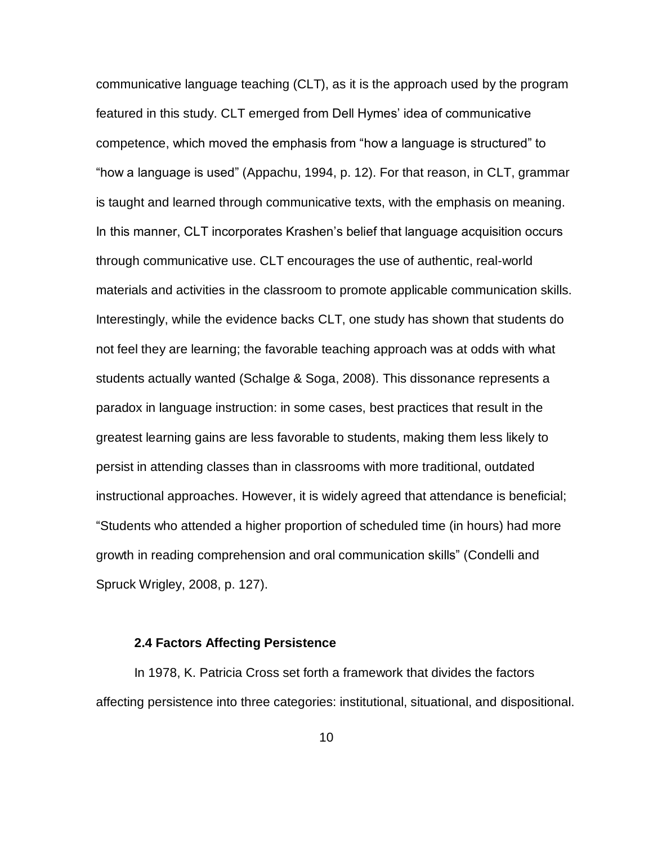communicative language teaching (CLT), as it is the approach used by the program featured in this study. CLT emerged from Dell Hymes' idea of communicative competence, which moved the emphasis from "how a language is structured" to "how a language is used" (Appachu, 1994, p. 12). For that reason, in CLT, grammar is taught and learned through communicative texts, with the emphasis on meaning. In this manner, CLT incorporates Krashen's belief that language acquisition occurs through communicative use. CLT encourages the use of authentic, real-world materials and activities in the classroom to promote applicable communication skills. Interestingly, while the evidence backs CLT, one study has shown that students do not feel they are learning; the favorable teaching approach was at odds with what students actually wanted (Schalge & Soga, 2008). This dissonance represents a paradox in language instruction: in some cases, best practices that result in the greatest learning gains are less favorable to students, making them less likely to persist in attending classes than in classrooms with more traditional, outdated instructional approaches. However, it is widely agreed that attendance is beneficial; "Students who attended a higher proportion of scheduled time (in hours) had more growth in reading comprehension and oral communication skills" (Condelli and Spruck Wrigley, 2008, p. 127).

#### **2.4 Factors Affecting Persistence**

In 1978, K. Patricia Cross set forth a framework that divides the factors affecting persistence into three categories: institutional, situational, and dispositional.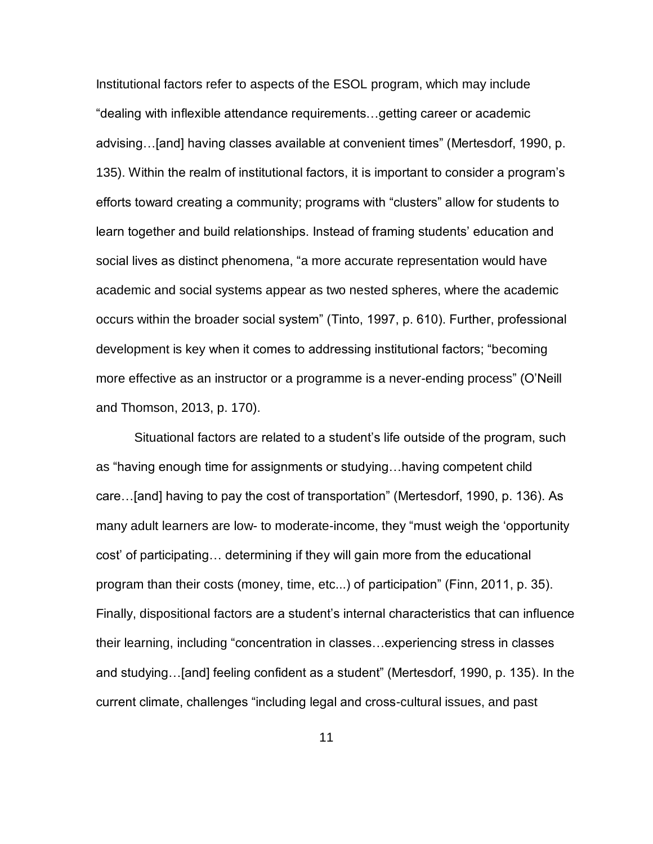Institutional factors refer to aspects of the ESOL program, which may include "dealing with inflexible attendance requirements…getting career or academic advising…[and] having classes available at convenient times" (Mertesdorf, 1990, p. 135). Within the realm of institutional factors, it is important to consider a program's efforts toward creating a community; programs with "clusters" allow for students to learn together and build relationships. Instead of framing students' education and social lives as distinct phenomena, "a more accurate representation would have academic and social systems appear as two nested spheres, where the academic occurs within the broader social system" (Tinto, 1997, p. 610). Further, professional development is key when it comes to addressing institutional factors; "becoming more effective as an instructor or a programme is a never-ending process" (O'Neill and Thomson, 2013, p. 170).

Situational factors are related to a student's life outside of the program, such as "having enough time for assignments or studying…having competent child care…[and] having to pay the cost of transportation" (Mertesdorf, 1990, p. 136). As many adult learners are low- to moderate-income, they "must weigh the 'opportunity cost' of participating… determining if they will gain more from the educational program than their costs (money, time, etc...) of participation" (Finn, 2011, p. 35). Finally, dispositional factors are a student's internal characteristics that can influence their learning, including "concentration in classes…experiencing stress in classes and studying…[and] feeling confident as a student" (Mertesdorf, 1990, p. 135). In the current climate, challenges "including legal and cross-cultural issues, and past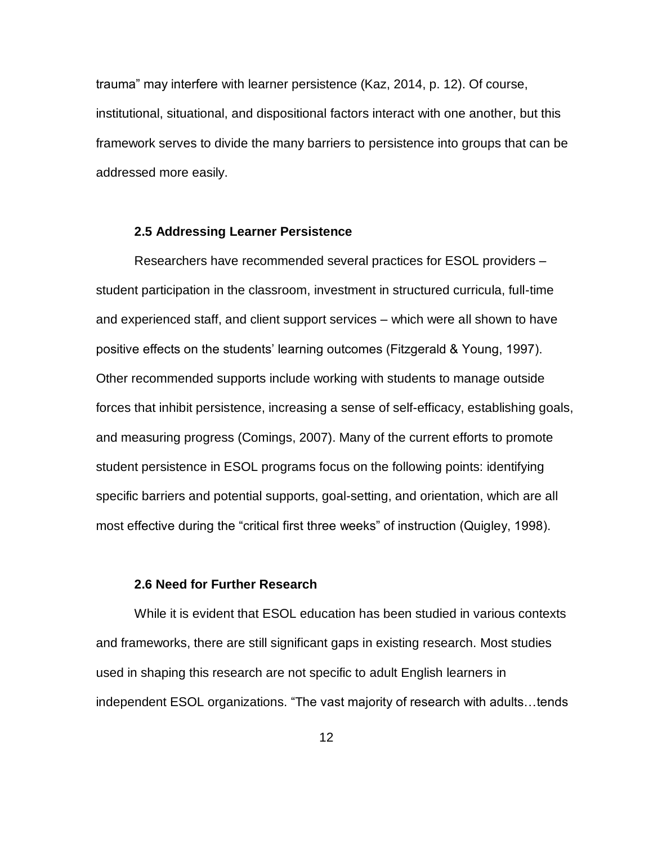trauma" may interfere with learner persistence (Kaz, 2014, p. 12). Of course, institutional, situational, and dispositional factors interact with one another, but this framework serves to divide the many barriers to persistence into groups that can be addressed more easily.

#### **2.5 Addressing Learner Persistence**

Researchers have recommended several practices for ESOL providers – student participation in the classroom, investment in structured curricula, full-time and experienced staff, and client support services – which were all shown to have positive effects on the students' learning outcomes (Fitzgerald & Young, 1997). Other recommended supports include working with students to manage outside forces that inhibit persistence, increasing a sense of self-efficacy, establishing goals, and measuring progress (Comings, 2007). Many of the current efforts to promote student persistence in ESOL programs focus on the following points: identifying specific barriers and potential supports, goal-setting, and orientation, which are all most effective during the "critical first three weeks" of instruction (Quigley, 1998).

#### **2.6 Need for Further Research**

While it is evident that ESOL education has been studied in various contexts and frameworks, there are still significant gaps in existing research. Most studies used in shaping this research are not specific to adult English learners in independent ESOL organizations. "The vast majority of research with adults…tends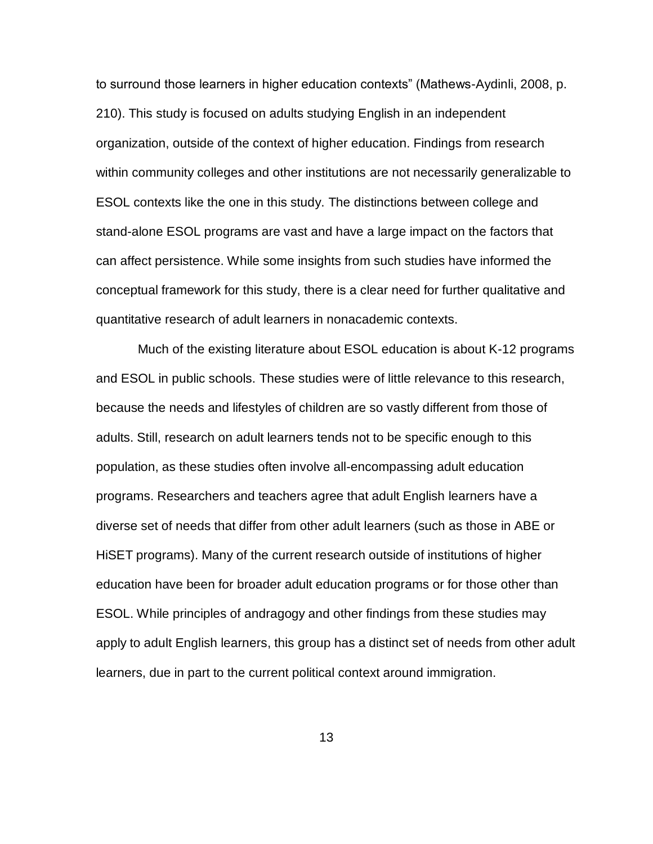to surround those learners in higher education contexts" (Mathews-Aydinli, 2008, p. 210). This study is focused on adults studying English in an independent organization, outside of the context of higher education. Findings from research within community colleges and other institutions are not necessarily generalizable to ESOL contexts like the one in this study. The distinctions between college and stand-alone ESOL programs are vast and have a large impact on the factors that can affect persistence. While some insights from such studies have informed the conceptual framework for this study, there is a clear need for further qualitative and quantitative research of adult learners in nonacademic contexts.

Much of the existing literature about ESOL education is about K-12 programs and ESOL in public schools. These studies were of little relevance to this research, because the needs and lifestyles of children are so vastly different from those of adults. Still, research on adult learners tends not to be specific enough to this population, as these studies often involve all-encompassing adult education programs. Researchers and teachers agree that adult English learners have a diverse set of needs that differ from other adult learners (such as those in ABE or HiSET programs). Many of the current research outside of institutions of higher education have been for broader adult education programs or for those other than ESOL. While principles of andragogy and other findings from these studies may apply to adult English learners, this group has a distinct set of needs from other adult learners, due in part to the current political context around immigration.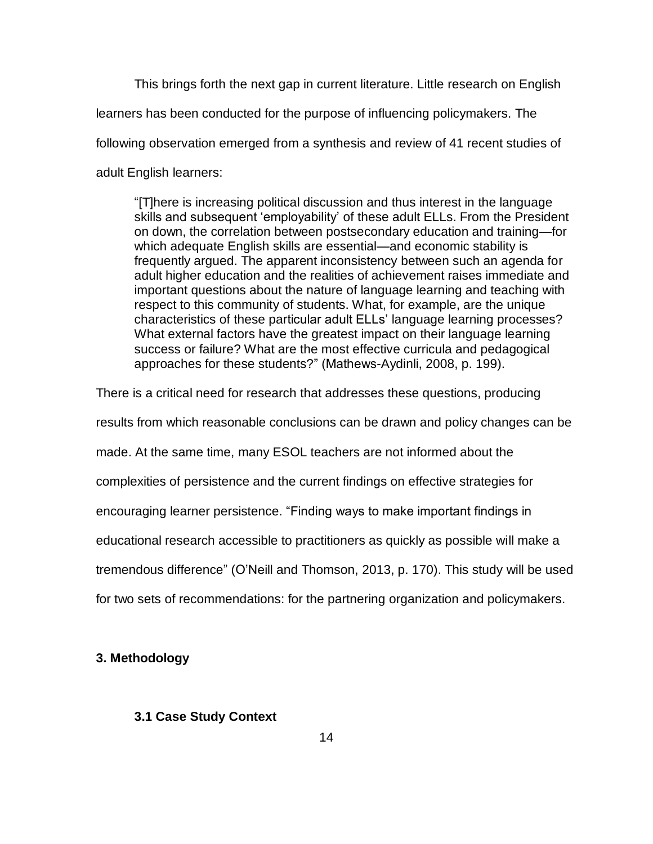This brings forth the next gap in current literature. Little research on English learners has been conducted for the purpose of influencing policymakers. The following observation emerged from a synthesis and review of 41 recent studies of adult English learners:

"[T]here is increasing political discussion and thus interest in the language skills and subsequent 'employability' of these adult ELLs. From the President on down, the correlation between postsecondary education and training—for which adequate English skills are essential—and economic stability is frequently argued. The apparent inconsistency between such an agenda for adult higher education and the realities of achievement raises immediate and important questions about the nature of language learning and teaching with respect to this community of students. What, for example, are the unique characteristics of these particular adult ELLs' language learning processes? What external factors have the greatest impact on their language learning success or failure? What are the most effective curricula and pedagogical approaches for these students?" (Mathews-Aydinli, 2008, p. 199).

There is a critical need for research that addresses these questions, producing results from which reasonable conclusions can be drawn and policy changes can be made. At the same time, many ESOL teachers are not informed about the complexities of persistence and the current findings on effective strategies for encouraging learner persistence. "Finding ways to make important findings in educational research accessible to practitioners as quickly as possible will make a tremendous difference" (O'Neill and Thomson, 2013, p. 170). This study will be used for two sets of recommendations: for the partnering organization and policymakers.

# **3. Methodology**

# **3.1 Case Study Context**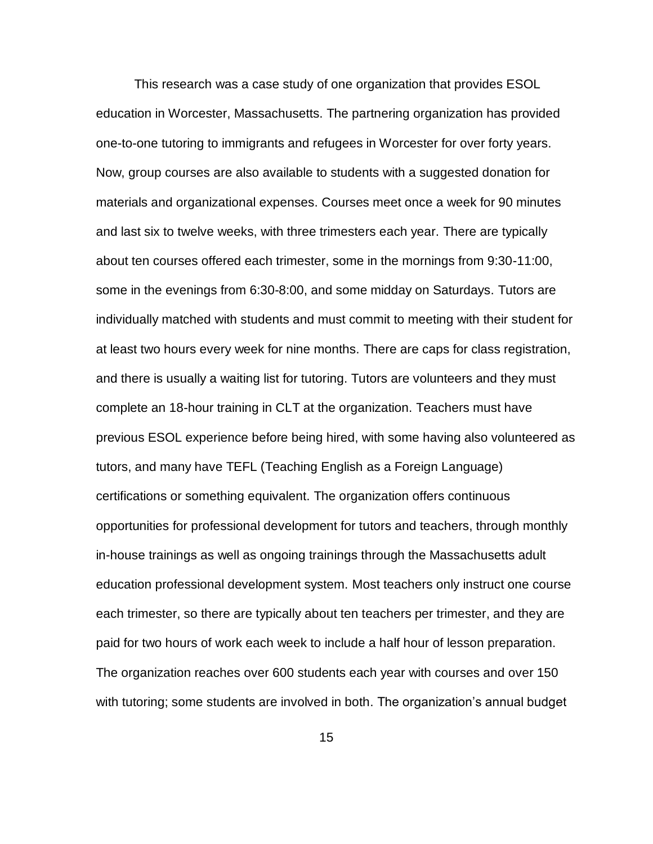This research was a case study of one organization that provides ESOL education in Worcester, Massachusetts. The partnering organization has provided one-to-one tutoring to immigrants and refugees in Worcester for over forty years. Now, group courses are also available to students with a suggested donation for materials and organizational expenses. Courses meet once a week for 90 minutes and last six to twelve weeks, with three trimesters each year. There are typically about ten courses offered each trimester, some in the mornings from 9:30-11:00, some in the evenings from 6:30-8:00, and some midday on Saturdays. Tutors are individually matched with students and must commit to meeting with their student for at least two hours every week for nine months. There are caps for class registration, and there is usually a waiting list for tutoring. Tutors are volunteers and they must complete an 18-hour training in CLT at the organization. Teachers must have previous ESOL experience before being hired, with some having also volunteered as tutors, and many have TEFL (Teaching English as a Foreign Language) certifications or something equivalent. The organization offers continuous opportunities for professional development for tutors and teachers, through monthly in-house trainings as well as ongoing trainings through the Massachusetts adult education professional development system. Most teachers only instruct one course each trimester, so there are typically about ten teachers per trimester, and they are paid for two hours of work each week to include a half hour of lesson preparation. The organization reaches over 600 students each year with courses and over 150 with tutoring; some students are involved in both. The organization's annual budget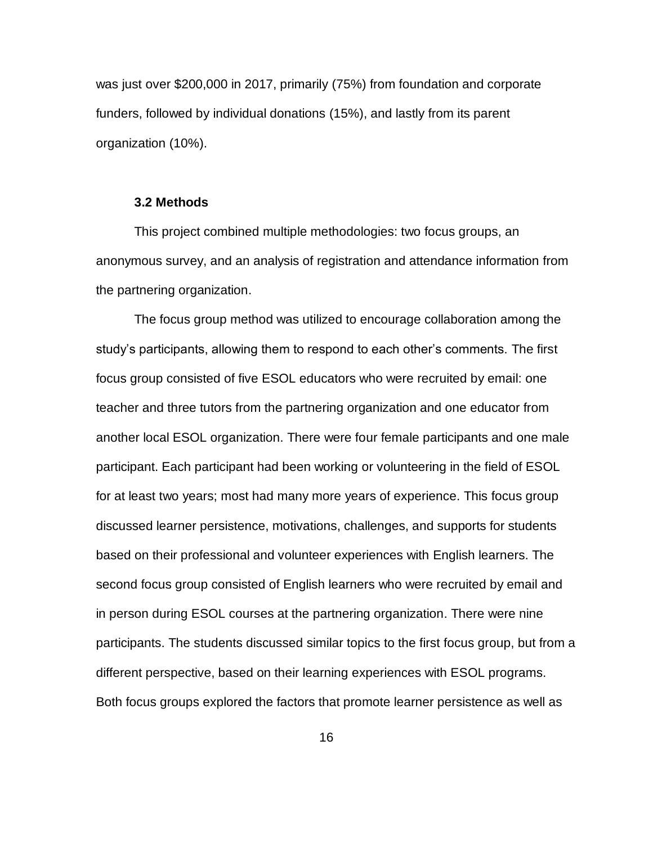was just over \$200,000 in 2017, primarily (75%) from foundation and corporate funders, followed by individual donations (15%), and lastly from its parent organization (10%).

#### **3.2 Methods**

This project combined multiple methodologies: two focus groups, an anonymous survey, and an analysis of registration and attendance information from the partnering organization.

The focus group method was utilized to encourage collaboration among the study's participants, allowing them to respond to each other's comments. The first focus group consisted of five ESOL educators who were recruited by email: one teacher and three tutors from the partnering organization and one educator from another local ESOL organization. There were four female participants and one male participant. Each participant had been working or volunteering in the field of ESOL for at least two years; most had many more years of experience. This focus group discussed learner persistence, motivations, challenges, and supports for students based on their professional and volunteer experiences with English learners. The second focus group consisted of English learners who were recruited by email and in person during ESOL courses at the partnering organization. There were nine participants. The students discussed similar topics to the first focus group, but from a different perspective, based on their learning experiences with ESOL programs. Both focus groups explored the factors that promote learner persistence as well as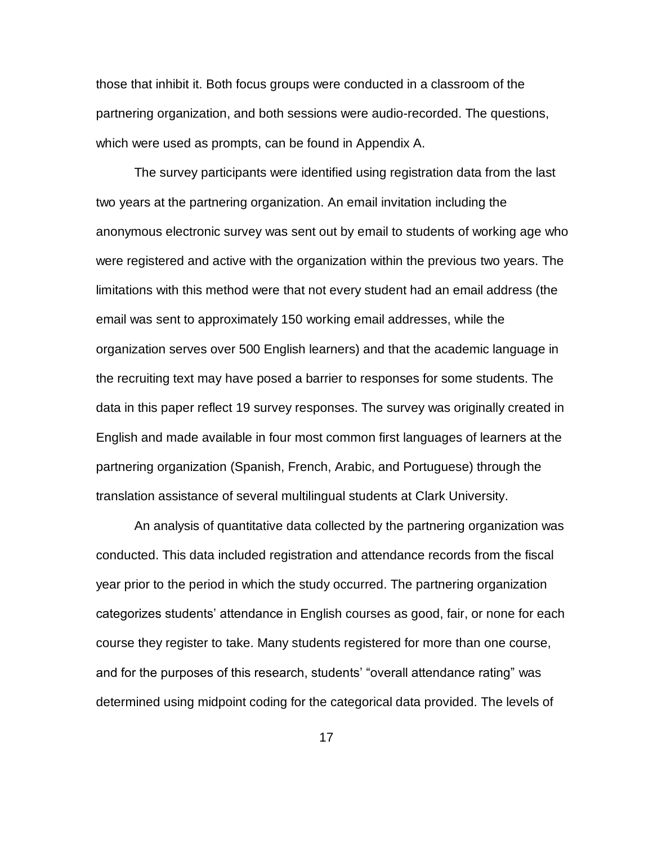those that inhibit it. Both focus groups were conducted in a classroom of the partnering organization, and both sessions were audio-recorded. The questions, which were used as prompts, can be found in Appendix A.

The survey participants were identified using registration data from the last two years at the partnering organization. An email invitation including the anonymous electronic survey was sent out by email to students of working age who were registered and active with the organization within the previous two years. The limitations with this method were that not every student had an email address (the email was sent to approximately 150 working email addresses, while the organization serves over 500 English learners) and that the academic language in the recruiting text may have posed a barrier to responses for some students. The data in this paper reflect 19 survey responses. The survey was originally created in English and made available in four most common first languages of learners at the partnering organization (Spanish, French, Arabic, and Portuguese) through the translation assistance of several multilingual students at Clark University.

An analysis of quantitative data collected by the partnering organization was conducted. This data included registration and attendance records from the fiscal year prior to the period in which the study occurred. The partnering organization categorizes students' attendance in English courses as good, fair, or none for each course they register to take. Many students registered for more than one course, and for the purposes of this research, students' "overall attendance rating" was determined using midpoint coding for the categorical data provided. The levels of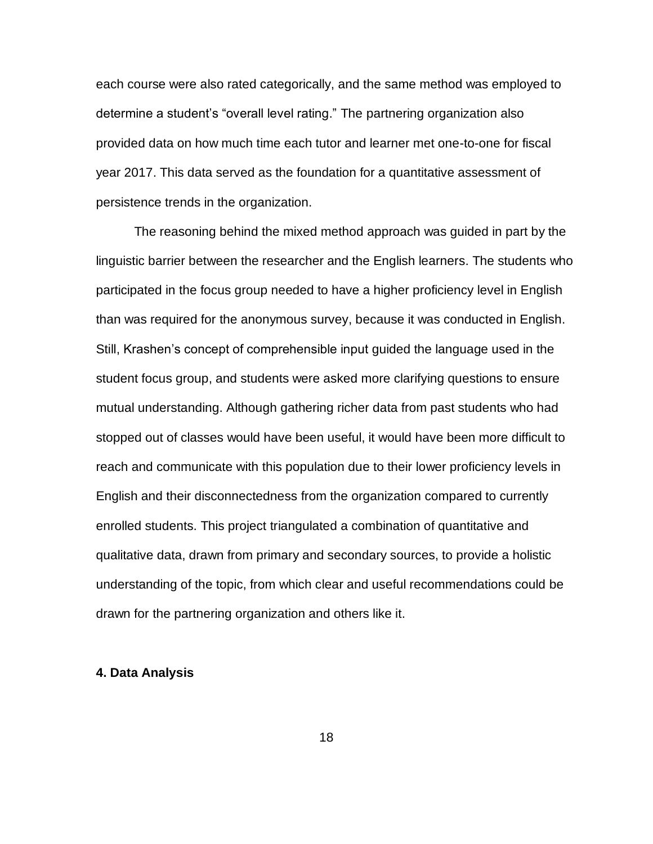each course were also rated categorically, and the same method was employed to determine a student's "overall level rating." The partnering organization also provided data on how much time each tutor and learner met one-to-one for fiscal year 2017. This data served as the foundation for a quantitative assessment of persistence trends in the organization.

The reasoning behind the mixed method approach was guided in part by the linguistic barrier between the researcher and the English learners. The students who participated in the focus group needed to have a higher proficiency level in English than was required for the anonymous survey, because it was conducted in English. Still, Krashen's concept of comprehensible input guided the language used in the student focus group, and students were asked more clarifying questions to ensure mutual understanding. Although gathering richer data from past students who had stopped out of classes would have been useful, it would have been more difficult to reach and communicate with this population due to their lower proficiency levels in English and their disconnectedness from the organization compared to currently enrolled students. This project triangulated a combination of quantitative and qualitative data, drawn from primary and secondary sources, to provide a holistic understanding of the topic, from which clear and useful recommendations could be drawn for the partnering organization and others like it.

#### **4. Data Analysis**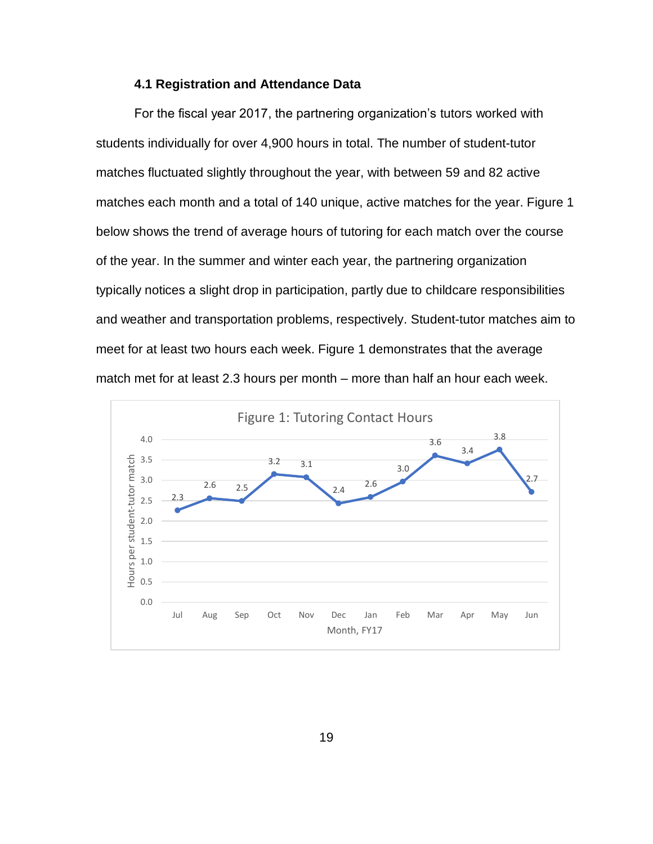#### **4.1 Registration and Attendance Data**

For the fiscal year 2017, the partnering organization's tutors worked with students individually for over 4,900 hours in total. The number of student-tutor matches fluctuated slightly throughout the year, with between 59 and 82 active matches each month and a total of 140 unique, active matches for the year. Figure 1 below shows the trend of average hours of tutoring for each match over the course of the year. In the summer and winter each year, the partnering organization typically notices a slight drop in participation, partly due to childcare responsibilities and weather and transportation problems, respectively. Student-tutor matches aim to meet for at least two hours each week. Figure 1 demonstrates that the average match met for at least 2.3 hours per month – more than half an hour each week.

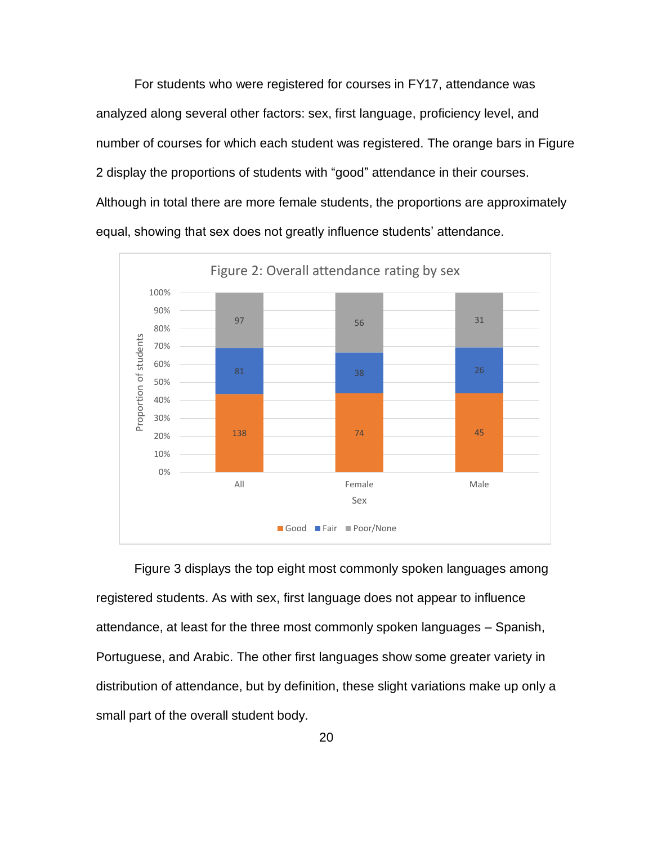For students who were registered for courses in FY17, attendance was analyzed along several other factors: sex, first language, proficiency level, and number of courses for which each student was registered. The orange bars in Figure 2 display the proportions of students with "good" attendance in their courses. Although in total there are more female students, the proportions are approximately equal, showing that sex does not greatly influence students' attendance.



Figure 3 displays the top eight most commonly spoken languages among registered students. As with sex, first language does not appear to influence attendance, at least for the three most commonly spoken languages – Spanish, Portuguese, and Arabic. The other first languages show some greater variety in distribution of attendance, but by definition, these slight variations make up only a small part of the overall student body.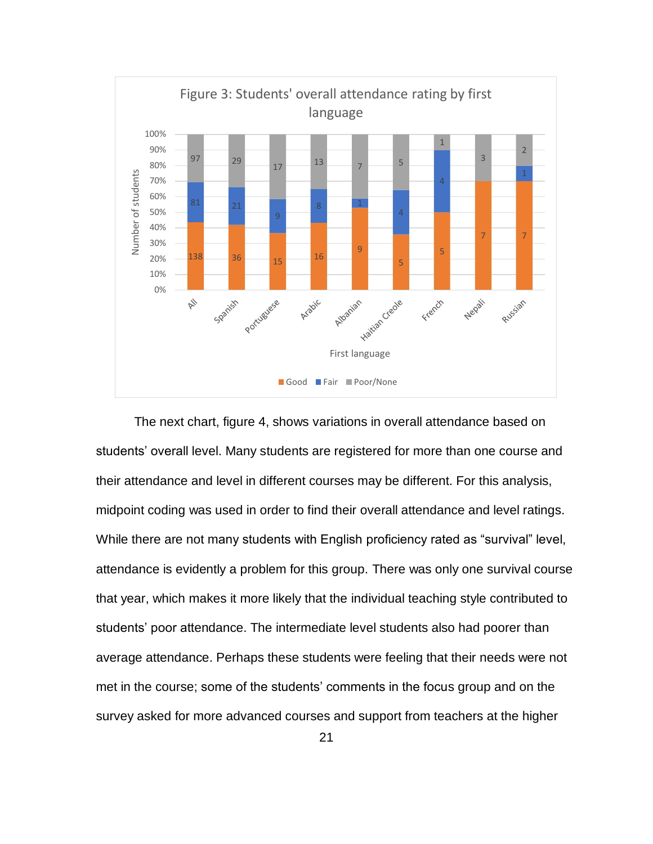

The next chart, figure 4, shows variations in overall attendance based on students' overall level. Many students are registered for more than one course and their attendance and level in different courses may be different. For this analysis, midpoint coding was used in order to find their overall attendance and level ratings. While there are not many students with English proficiency rated as "survival" level, attendance is evidently a problem for this group. There was only one survival course that year, which makes it more likely that the individual teaching style contributed to students' poor attendance. The intermediate level students also had poorer than average attendance. Perhaps these students were feeling that their needs were not met in the course; some of the students' comments in the focus group and on the survey asked for more advanced courses and support from teachers at the higher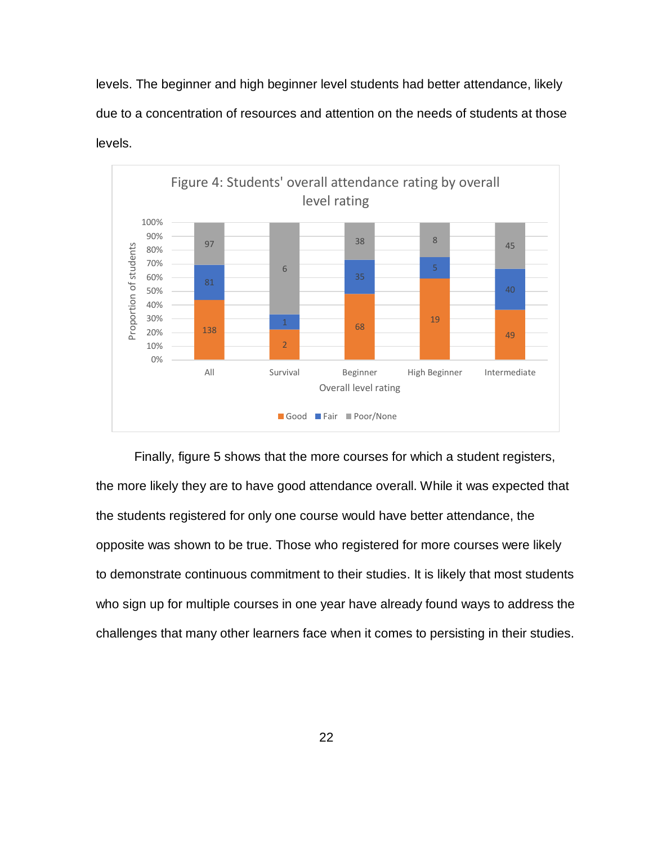levels. The beginner and high beginner level students had better attendance, likely due to a concentration of resources and attention on the needs of students at those levels.



Finally, figure 5 shows that the more courses for which a student registers, the more likely they are to have good attendance overall. While it was expected that the students registered for only one course would have better attendance, the opposite was shown to be true. Those who registered for more courses were likely to demonstrate continuous commitment to their studies. It is likely that most students who sign up for multiple courses in one year have already found ways to address the challenges that many other learners face when it comes to persisting in their studies.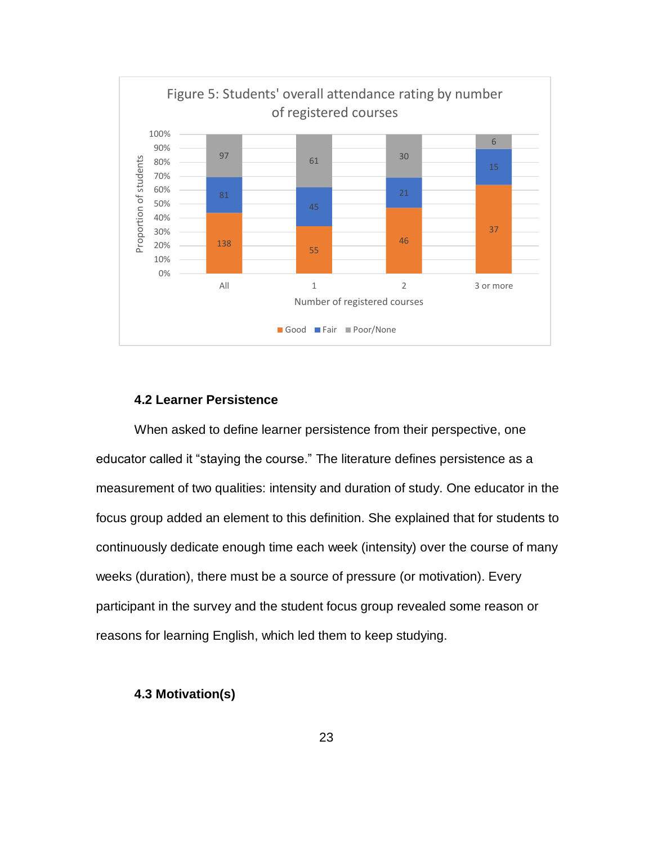

### **4.2 Learner Persistence**

When asked to define learner persistence from their perspective, one educator called it "staying the course." The literature defines persistence as a measurement of two qualities: intensity and duration of study. One educator in the focus group added an element to this definition. She explained that for students to continuously dedicate enough time each week (intensity) over the course of many weeks (duration), there must be a source of pressure (or motivation). Every participant in the survey and the student focus group revealed some reason or reasons for learning English, which led them to keep studying.

#### **4.3 Motivation(s)**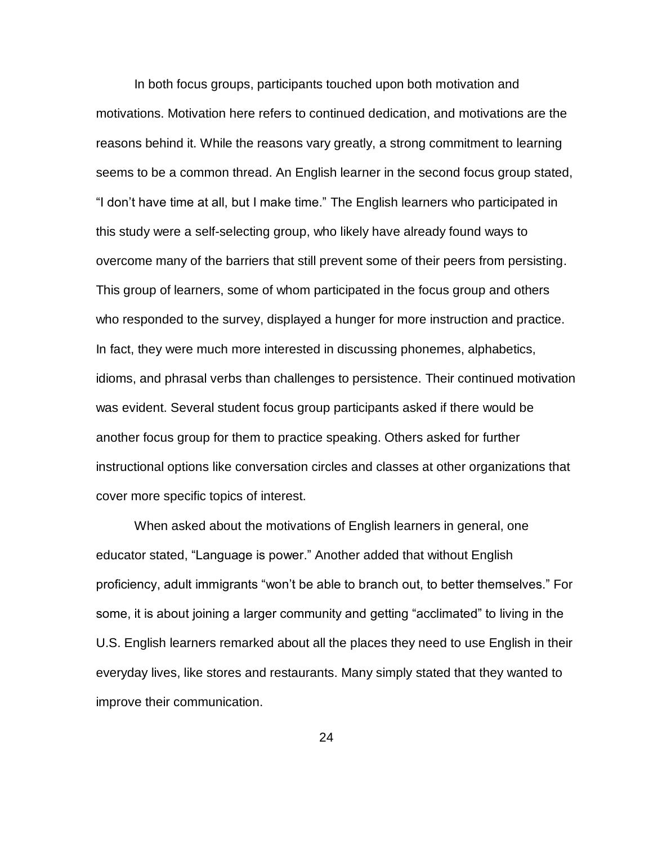In both focus groups, participants touched upon both motivation and motivations. Motivation here refers to continued dedication, and motivations are the reasons behind it. While the reasons vary greatly, a strong commitment to learning seems to be a common thread. An English learner in the second focus group stated, "I don't have time at all, but I make time." The English learners who participated in this study were a self-selecting group, who likely have already found ways to overcome many of the barriers that still prevent some of their peers from persisting. This group of learners, some of whom participated in the focus group and others who responded to the survey, displayed a hunger for more instruction and practice. In fact, they were much more interested in discussing phonemes, alphabetics, idioms, and phrasal verbs than challenges to persistence. Their continued motivation was evident. Several student focus group participants asked if there would be another focus group for them to practice speaking. Others asked for further instructional options like conversation circles and classes at other organizations that cover more specific topics of interest.

When asked about the motivations of English learners in general, one educator stated, "Language is power." Another added that without English proficiency, adult immigrants "won't be able to branch out, to better themselves." For some, it is about joining a larger community and getting "acclimated" to living in the U.S. English learners remarked about all the places they need to use English in their everyday lives, like stores and restaurants. Many simply stated that they wanted to improve their communication.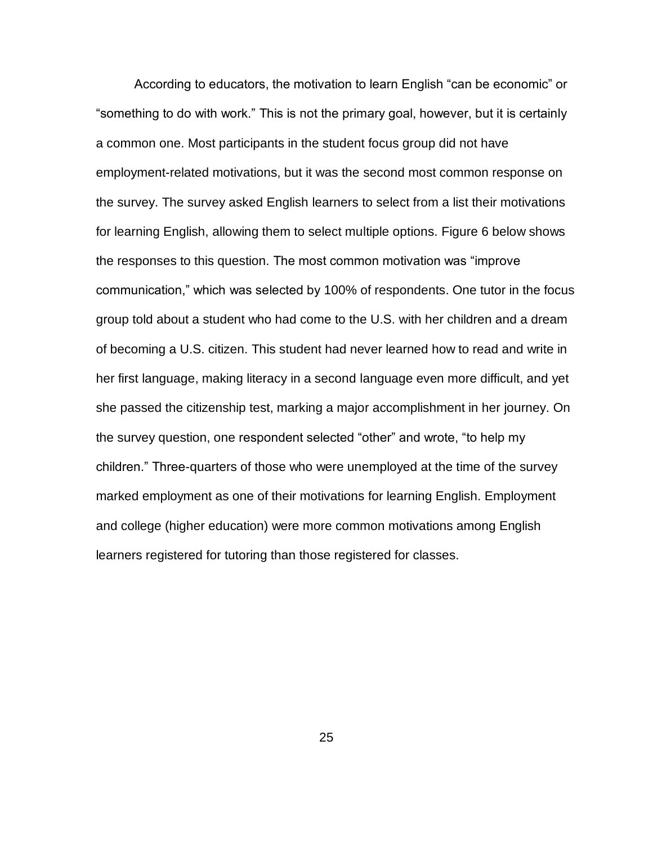According to educators, the motivation to learn English "can be economic" or "something to do with work." This is not the primary goal, however, but it is certainly a common one. Most participants in the student focus group did not have employment-related motivations, but it was the second most common response on the survey. The survey asked English learners to select from a list their motivations for learning English, allowing them to select multiple options. Figure 6 below shows the responses to this question. The most common motivation was "improve communication," which was selected by 100% of respondents. One tutor in the focus group told about a student who had come to the U.S. with her children and a dream of becoming a U.S. citizen. This student had never learned how to read and write in her first language, making literacy in a second language even more difficult, and yet she passed the citizenship test, marking a major accomplishment in her journey. On the survey question, one respondent selected "other" and wrote, "to help my children." Three-quarters of those who were unemployed at the time of the survey marked employment as one of their motivations for learning English. Employment and college (higher education) were more common motivations among English learners registered for tutoring than those registered for classes.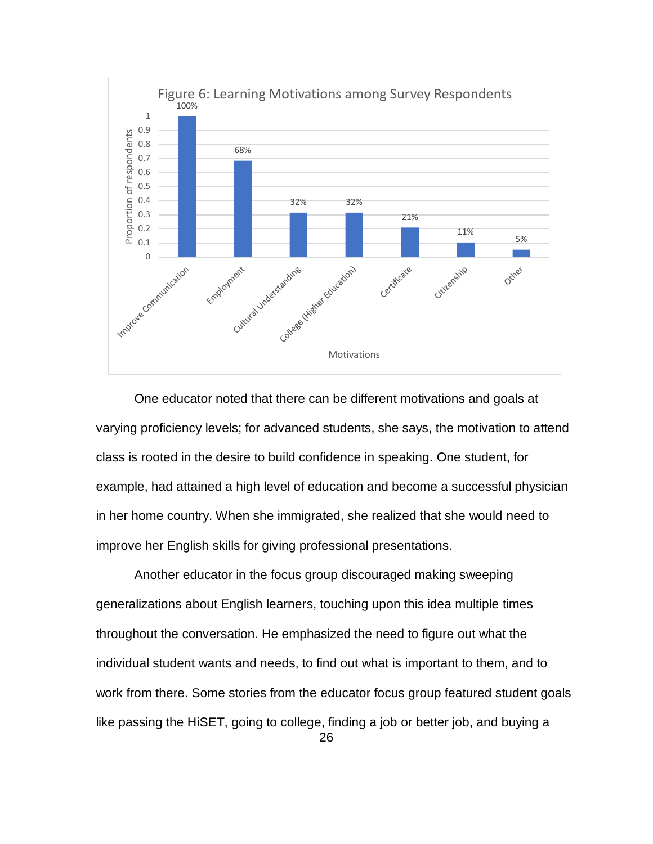

One educator noted that there can be different motivations and goals at varying proficiency levels; for advanced students, she says, the motivation to attend class is rooted in the desire to build confidence in speaking. One student, for example, had attained a high level of education and become a successful physician in her home country. When she immigrated, she realized that she would need to improve her English skills for giving professional presentations.

Another educator in the focus group discouraged making sweeping generalizations about English learners, touching upon this idea multiple times throughout the conversation. He emphasized the need to figure out what the individual student wants and needs, to find out what is important to them, and to work from there. Some stories from the educator focus group featured student goals like passing the HiSET, going to college, finding a job or better job, and buying a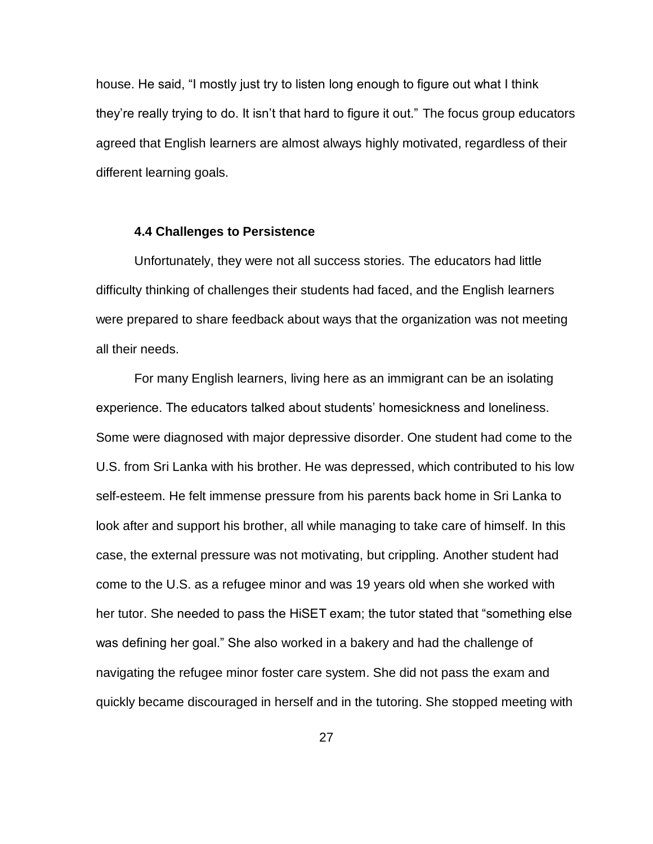house. He said, "I mostly just try to listen long enough to figure out what I think they're really trying to do. It isn't that hard to figure it out." The focus group educators agreed that English learners are almost always highly motivated, regardless of their different learning goals.

#### **4.4 Challenges to Persistence**

Unfortunately, they were not all success stories. The educators had little difficulty thinking of challenges their students had faced, and the English learners were prepared to share feedback about ways that the organization was not meeting all their needs.

For many English learners, living here as an immigrant can be an isolating experience. The educators talked about students' homesickness and loneliness. Some were diagnosed with major depressive disorder. One student had come to the U.S. from Sri Lanka with his brother. He was depressed, which contributed to his low self-esteem. He felt immense pressure from his parents back home in Sri Lanka to look after and support his brother, all while managing to take care of himself. In this case, the external pressure was not motivating, but crippling. Another student had come to the U.S. as a refugee minor and was 19 years old when she worked with her tutor. She needed to pass the HiSET exam; the tutor stated that "something else was defining her goal." She also worked in a bakery and had the challenge of navigating the refugee minor foster care system. She did not pass the exam and quickly became discouraged in herself and in the tutoring. She stopped meeting with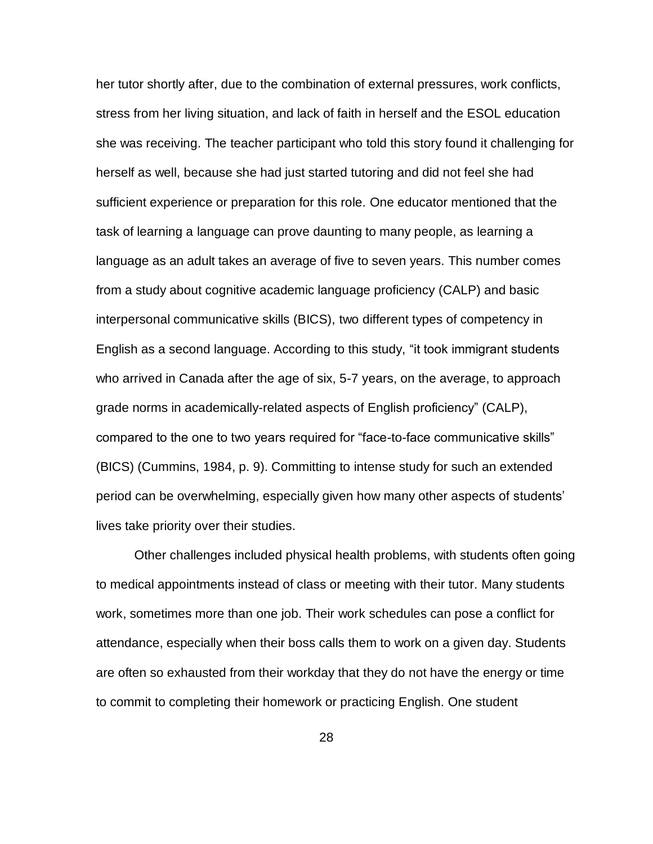her tutor shortly after, due to the combination of external pressures, work conflicts, stress from her living situation, and lack of faith in herself and the ESOL education she was receiving. The teacher participant who told this story found it challenging for herself as well, because she had just started tutoring and did not feel she had sufficient experience or preparation for this role. One educator mentioned that the task of learning a language can prove daunting to many people, as learning a language as an adult takes an average of five to seven years. This number comes from a study about cognitive academic language proficiency (CALP) and basic interpersonal communicative skills (BICS), two different types of competency in English as a second language. According to this study, "it took immigrant students who arrived in Canada after the age of six, 5-7 years, on the average, to approach grade norms in academically-related aspects of English proficiency" (CALP), compared to the one to two years required for "face-to-face communicative skills" (BICS) (Cummins, 1984, p. 9). Committing to intense study for such an extended period can be overwhelming, especially given how many other aspects of students' lives take priority over their studies.

Other challenges included physical health problems, with students often going to medical appointments instead of class or meeting with their tutor. Many students work, sometimes more than one job. Their work schedules can pose a conflict for attendance, especially when their boss calls them to work on a given day. Students are often so exhausted from their workday that they do not have the energy or time to commit to completing their homework or practicing English. One student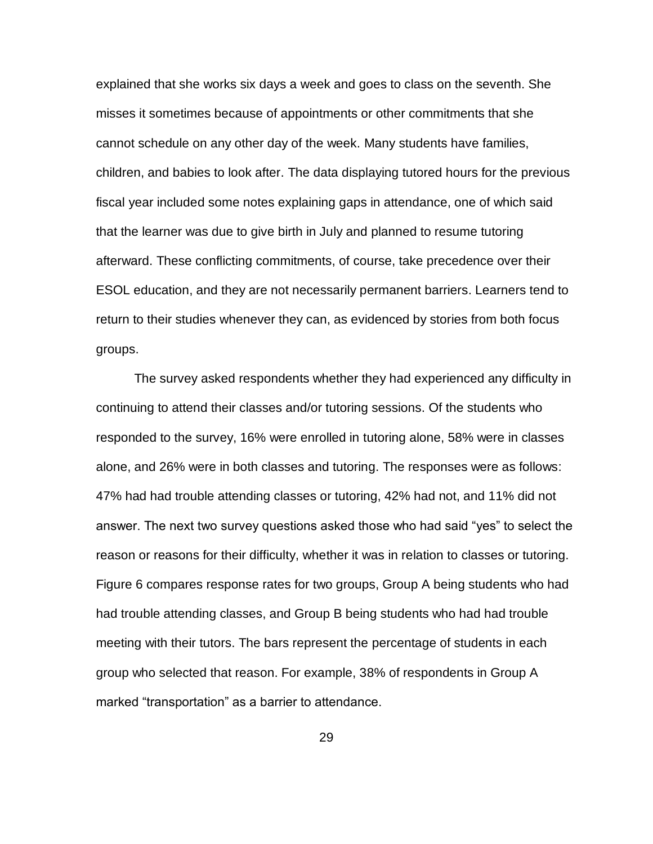explained that she works six days a week and goes to class on the seventh. She misses it sometimes because of appointments or other commitments that she cannot schedule on any other day of the week. Many students have families, children, and babies to look after. The data displaying tutored hours for the previous fiscal year included some notes explaining gaps in attendance, one of which said that the learner was due to give birth in July and planned to resume tutoring afterward. These conflicting commitments, of course, take precedence over their ESOL education, and they are not necessarily permanent barriers. Learners tend to return to their studies whenever they can, as evidenced by stories from both focus groups.

The survey asked respondents whether they had experienced any difficulty in continuing to attend their classes and/or tutoring sessions. Of the students who responded to the survey, 16% were enrolled in tutoring alone, 58% were in classes alone, and 26% were in both classes and tutoring. The responses were as follows: 47% had had trouble attending classes or tutoring, 42% had not, and 11% did not answer. The next two survey questions asked those who had said "yes" to select the reason or reasons for their difficulty, whether it was in relation to classes or tutoring. Figure 6 compares response rates for two groups, Group A being students who had had trouble attending classes, and Group B being students who had had trouble meeting with their tutors. The bars represent the percentage of students in each group who selected that reason. For example, 38% of respondents in Group A marked "transportation" as a barrier to attendance.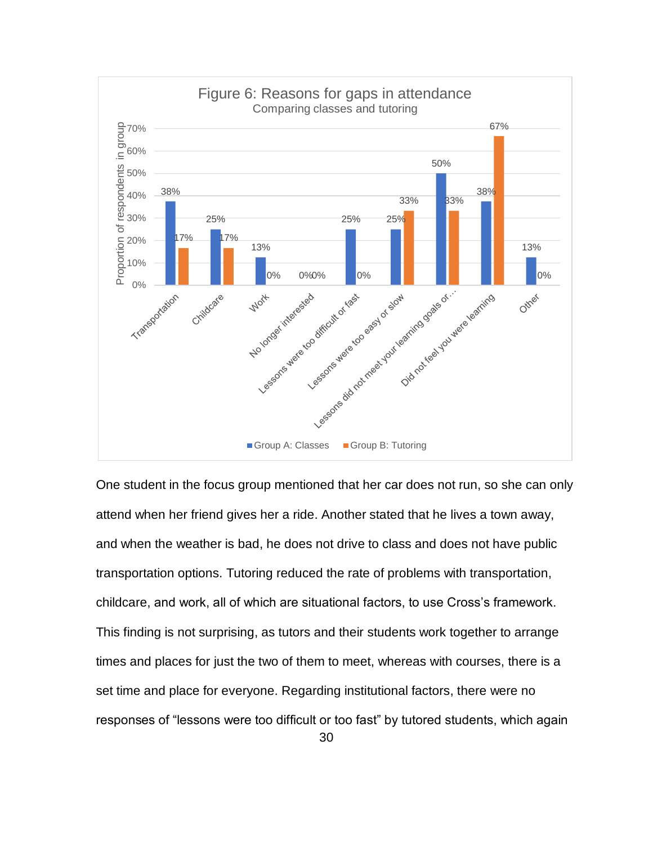

One student in the focus group mentioned that her car does not run, so she can only attend when her friend gives her a ride. Another stated that he lives a town away, and when the weather is bad, he does not drive to class and does not have public transportation options. Tutoring reduced the rate of problems with transportation, childcare, and work, all of which are situational factors, to use Cross's framework. This finding is not surprising, as tutors and their students work together to arrange times and places for just the two of them to meet, whereas with courses, there is a set time and place for everyone. Regarding institutional factors, there were no responses of "lessons were too difficult or too fast" by tutored students, which again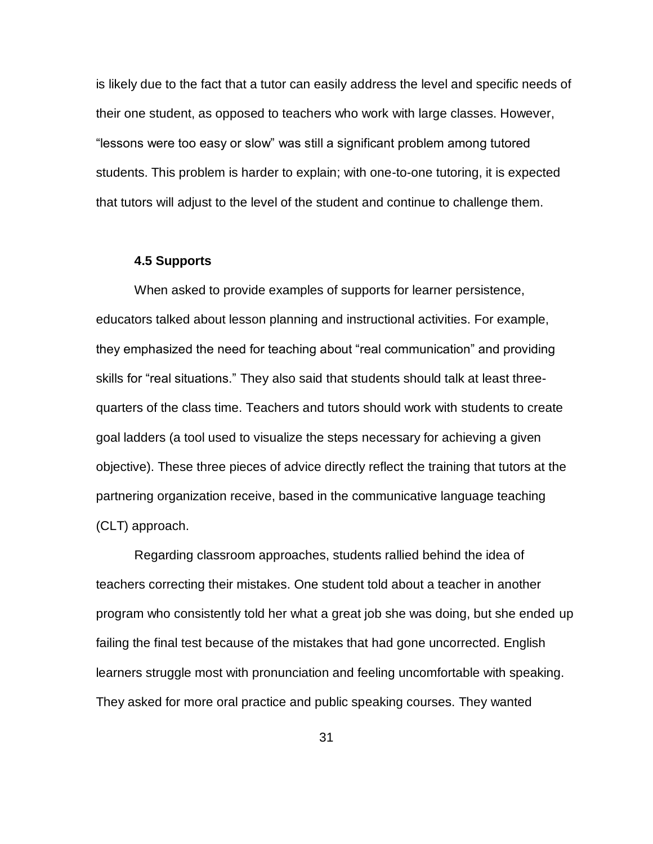is likely due to the fact that a tutor can easily address the level and specific needs of their one student, as opposed to teachers who work with large classes. However, "lessons were too easy or slow" was still a significant problem among tutored students. This problem is harder to explain; with one-to-one tutoring, it is expected that tutors will adjust to the level of the student and continue to challenge them.

#### **4.5 Supports**

When asked to provide examples of supports for learner persistence, educators talked about lesson planning and instructional activities. For example, they emphasized the need for teaching about "real communication" and providing skills for "real situations." They also said that students should talk at least threequarters of the class time. Teachers and tutors should work with students to create goal ladders (a tool used to visualize the steps necessary for achieving a given objective). These three pieces of advice directly reflect the training that tutors at the partnering organization receive, based in the communicative language teaching (CLT) approach.

Regarding classroom approaches, students rallied behind the idea of teachers correcting their mistakes. One student told about a teacher in another program who consistently told her what a great job she was doing, but she ended up failing the final test because of the mistakes that had gone uncorrected. English learners struggle most with pronunciation and feeling uncomfortable with speaking. They asked for more oral practice and public speaking courses. They wanted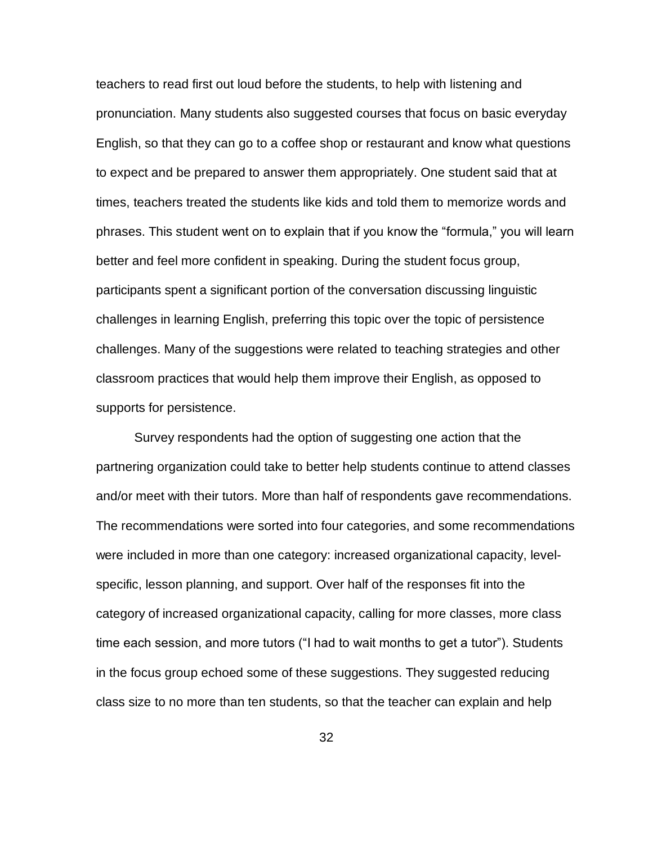teachers to read first out loud before the students, to help with listening and pronunciation. Many students also suggested courses that focus on basic everyday English, so that they can go to a coffee shop or restaurant and know what questions to expect and be prepared to answer them appropriately. One student said that at times, teachers treated the students like kids and told them to memorize words and phrases. This student went on to explain that if you know the "formula," you will learn better and feel more confident in speaking. During the student focus group, participants spent a significant portion of the conversation discussing linguistic challenges in learning English, preferring this topic over the topic of persistence challenges. Many of the suggestions were related to teaching strategies and other classroom practices that would help them improve their English, as opposed to supports for persistence.

Survey respondents had the option of suggesting one action that the partnering organization could take to better help students continue to attend classes and/or meet with their tutors. More than half of respondents gave recommendations. The recommendations were sorted into four categories, and some recommendations were included in more than one category: increased organizational capacity, levelspecific, lesson planning, and support. Over half of the responses fit into the category of increased organizational capacity, calling for more classes, more class time each session, and more tutors ("I had to wait months to get a tutor"). Students in the focus group echoed some of these suggestions. They suggested reducing class size to no more than ten students, so that the teacher can explain and help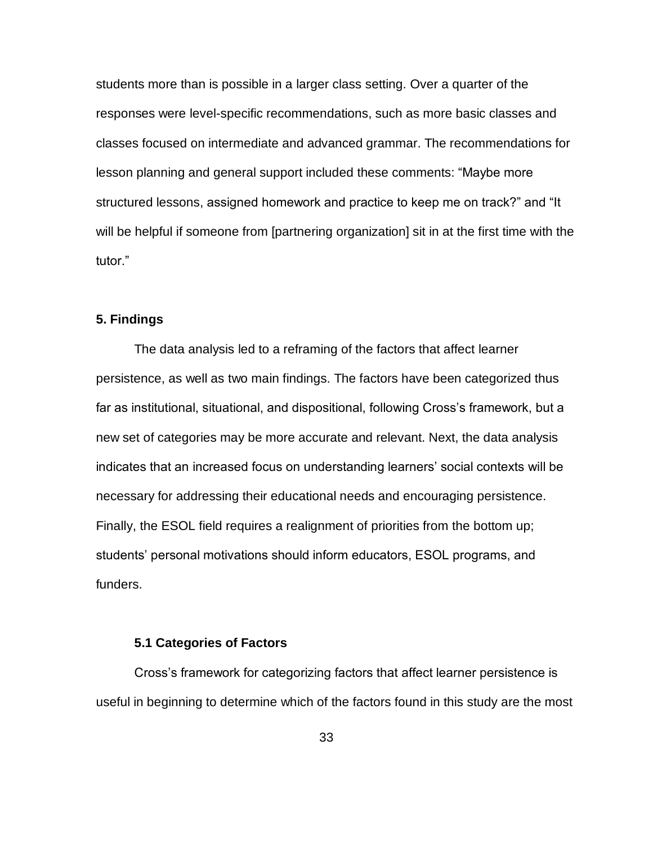students more than is possible in a larger class setting. Over a quarter of the responses were level-specific recommendations, such as more basic classes and classes focused on intermediate and advanced grammar. The recommendations for lesson planning and general support included these comments: "Maybe more structured lessons, assigned homework and practice to keep me on track?" and "It will be helpful if someone from [partnering organization] sit in at the first time with the tutor."

#### **5. Findings**

The data analysis led to a reframing of the factors that affect learner persistence, as well as two main findings. The factors have been categorized thus far as institutional, situational, and dispositional, following Cross's framework, but a new set of categories may be more accurate and relevant. Next, the data analysis indicates that an increased focus on understanding learners' social contexts will be necessary for addressing their educational needs and encouraging persistence. Finally, the ESOL field requires a realignment of priorities from the bottom up; students' personal motivations should inform educators, ESOL programs, and funders.

#### **5.1 Categories of Factors**

Cross's framework for categorizing factors that affect learner persistence is useful in beginning to determine which of the factors found in this study are the most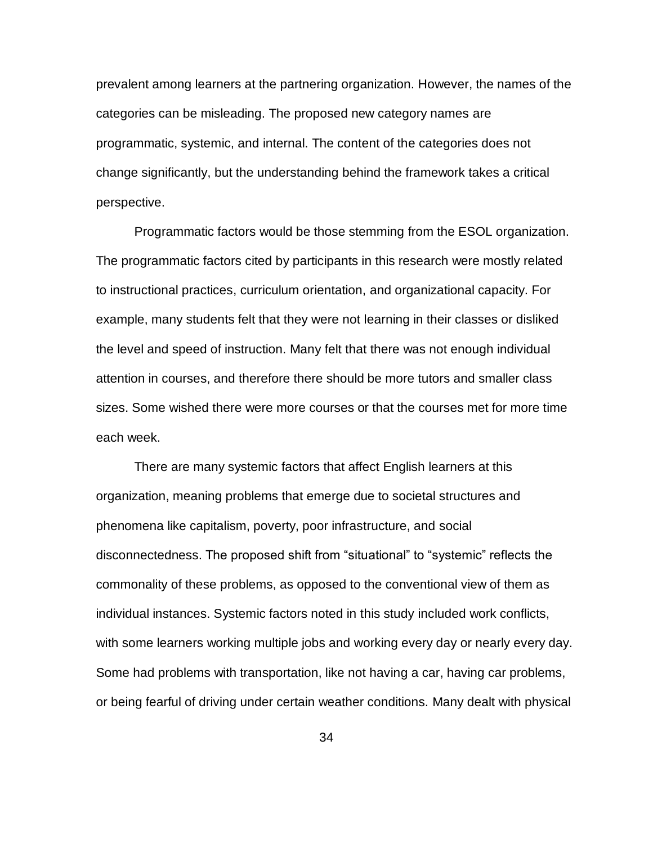prevalent among learners at the partnering organization. However, the names of the categories can be misleading. The proposed new category names are programmatic, systemic, and internal. The content of the categories does not change significantly, but the understanding behind the framework takes a critical perspective.

Programmatic factors would be those stemming from the ESOL organization. The programmatic factors cited by participants in this research were mostly related to instructional practices, curriculum orientation, and organizational capacity. For example, many students felt that they were not learning in their classes or disliked the level and speed of instruction. Many felt that there was not enough individual attention in courses, and therefore there should be more tutors and smaller class sizes. Some wished there were more courses or that the courses met for more time each week.

There are many systemic factors that affect English learners at this organization, meaning problems that emerge due to societal structures and phenomena like capitalism, poverty, poor infrastructure, and social disconnectedness. The proposed shift from "situational" to "systemic" reflects the commonality of these problems, as opposed to the conventional view of them as individual instances. Systemic factors noted in this study included work conflicts, with some learners working multiple jobs and working every day or nearly every day. Some had problems with transportation, like not having a car, having car problems, or being fearful of driving under certain weather conditions. Many dealt with physical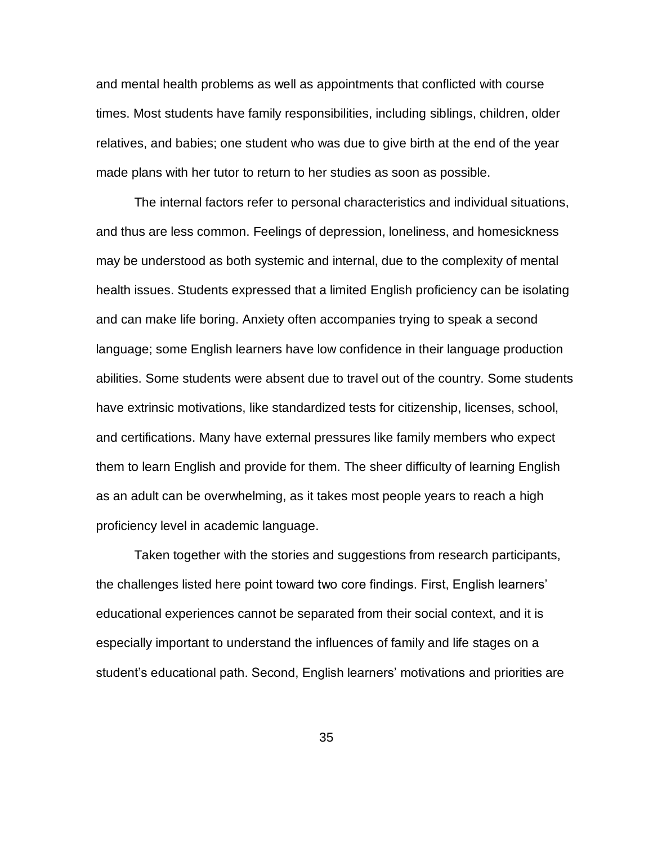and mental health problems as well as appointments that conflicted with course times. Most students have family responsibilities, including siblings, children, older relatives, and babies; one student who was due to give birth at the end of the year made plans with her tutor to return to her studies as soon as possible.

The internal factors refer to personal characteristics and individual situations, and thus are less common. Feelings of depression, loneliness, and homesickness may be understood as both systemic and internal, due to the complexity of mental health issues. Students expressed that a limited English proficiency can be isolating and can make life boring. Anxiety often accompanies trying to speak a second language; some English learners have low confidence in their language production abilities. Some students were absent due to travel out of the country. Some students have extrinsic motivations, like standardized tests for citizenship, licenses, school, and certifications. Many have external pressures like family members who expect them to learn English and provide for them. The sheer difficulty of learning English as an adult can be overwhelming, as it takes most people years to reach a high proficiency level in academic language.

Taken together with the stories and suggestions from research participants, the challenges listed here point toward two core findings. First, English learners' educational experiences cannot be separated from their social context, and it is especially important to understand the influences of family and life stages on a student's educational path. Second, English learners' motivations and priorities are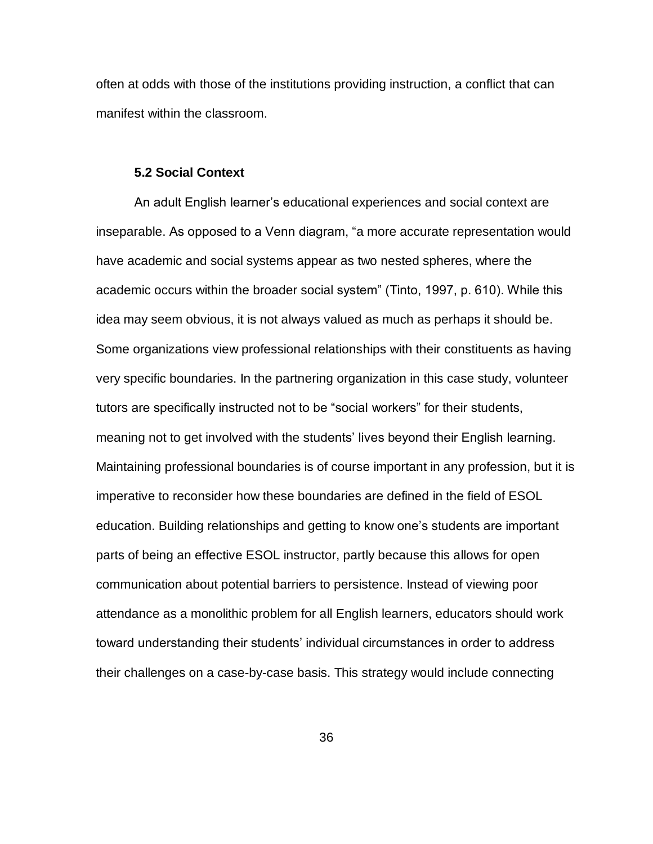often at odds with those of the institutions providing instruction, a conflict that can manifest within the classroom.

#### **5.2 Social Context**

An adult English learner's educational experiences and social context are inseparable. As opposed to a Venn diagram, "a more accurate representation would have academic and social systems appear as two nested spheres, where the academic occurs within the broader social system" (Tinto, 1997, p. 610). While this idea may seem obvious, it is not always valued as much as perhaps it should be. Some organizations view professional relationships with their constituents as having very specific boundaries. In the partnering organization in this case study, volunteer tutors are specifically instructed not to be "social workers" for their students, meaning not to get involved with the students' lives beyond their English learning. Maintaining professional boundaries is of course important in any profession, but it is imperative to reconsider how these boundaries are defined in the field of ESOL education. Building relationships and getting to know one's students are important parts of being an effective ESOL instructor, partly because this allows for open communication about potential barriers to persistence. Instead of viewing poor attendance as a monolithic problem for all English learners, educators should work toward understanding their students' individual circumstances in order to address their challenges on a case-by-case basis. This strategy would include connecting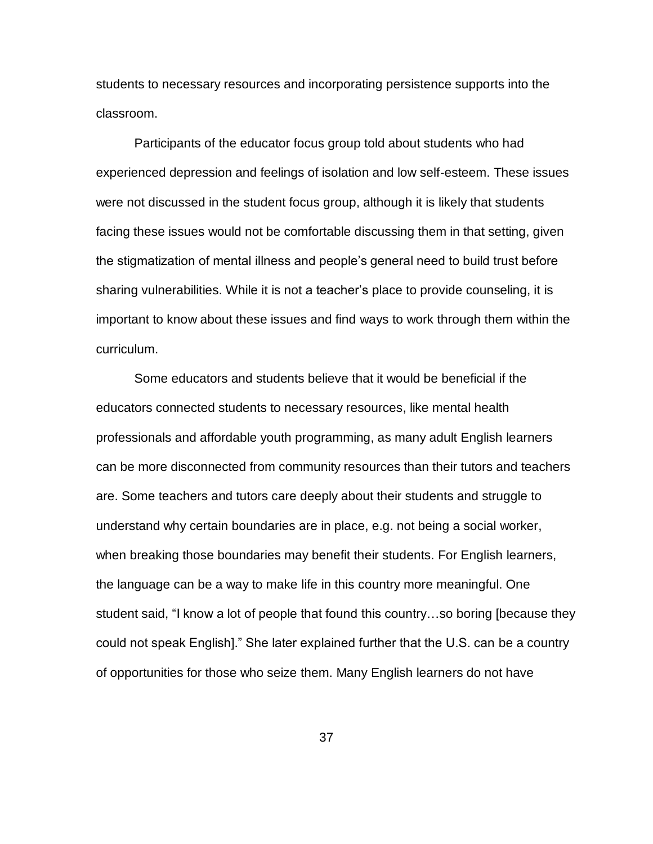students to necessary resources and incorporating persistence supports into the classroom.

Participants of the educator focus group told about students who had experienced depression and feelings of isolation and low self-esteem. These issues were not discussed in the student focus group, although it is likely that students facing these issues would not be comfortable discussing them in that setting, given the stigmatization of mental illness and people's general need to build trust before sharing vulnerabilities. While it is not a teacher's place to provide counseling, it is important to know about these issues and find ways to work through them within the curriculum.

Some educators and students believe that it would be beneficial if the educators connected students to necessary resources, like mental health professionals and affordable youth programming, as many adult English learners can be more disconnected from community resources than their tutors and teachers are. Some teachers and tutors care deeply about their students and struggle to understand why certain boundaries are in place, e.g. not being a social worker, when breaking those boundaries may benefit their students. For English learners, the language can be a way to make life in this country more meaningful. One student said, "I know a lot of people that found this country…so boring [because they could not speak English]." She later explained further that the U.S. can be a country of opportunities for those who seize them. Many English learners do not have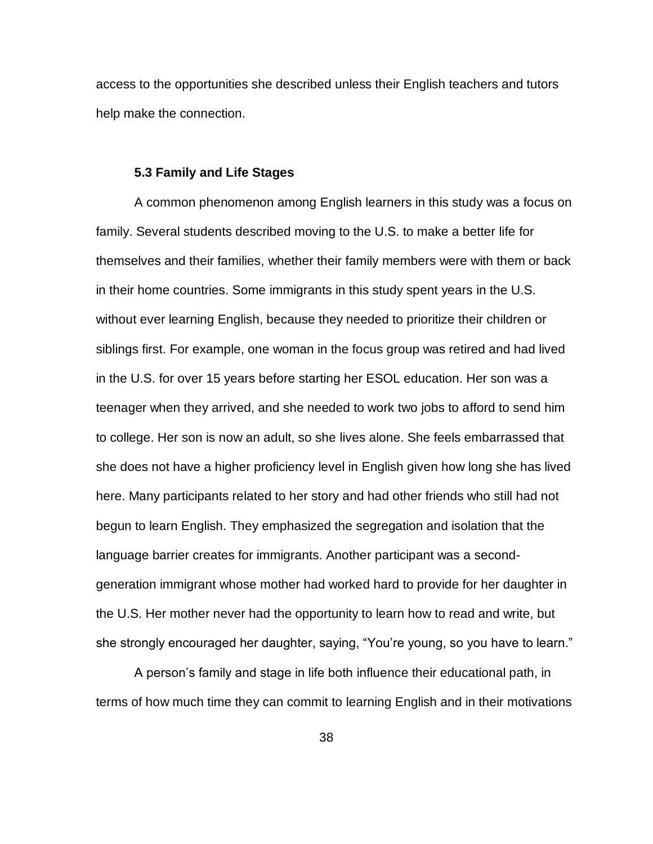access to the opportunities she described unless their English teachers and tutors help make the connection.

#### **5.3 Family and Life Stages**

A common phenomenon among English learners in this study was a focus on family. Several students described moving to the U.S. to make a better life for themselves and their families, whether their family members were with them or back in their home countries. Some immigrants in this study spent years in the U.S. without ever learning English, because they needed to prioritize their children or siblings first. For example, one woman in the focus group was retired and had lived in the U.S. for over 15 years before starting her ESOL education. Her son was a teenager when they arrived, and she needed to work two jobs to afford to send him to college. Her son is now an adult, so she lives alone. She feels embarrassed that she does not have a higher proficiency level in English given how long she has lived here. Many participants related to her story and had other friends who still had not begun to learn English. They emphasized the segregation and isolation that the language barrier creates for immigrants. Another participant was a secondgeneration immigrant whose mother had worked hard to provide for her daughter in the U.S. Her mother never had the opportunity to learn how to read and write, but she strongly encouraged her daughter, saying, "You're young, so you have to learn."

A person's family and stage in life both influence their educational path, in terms of how much time they can commit to learning English and in their motivations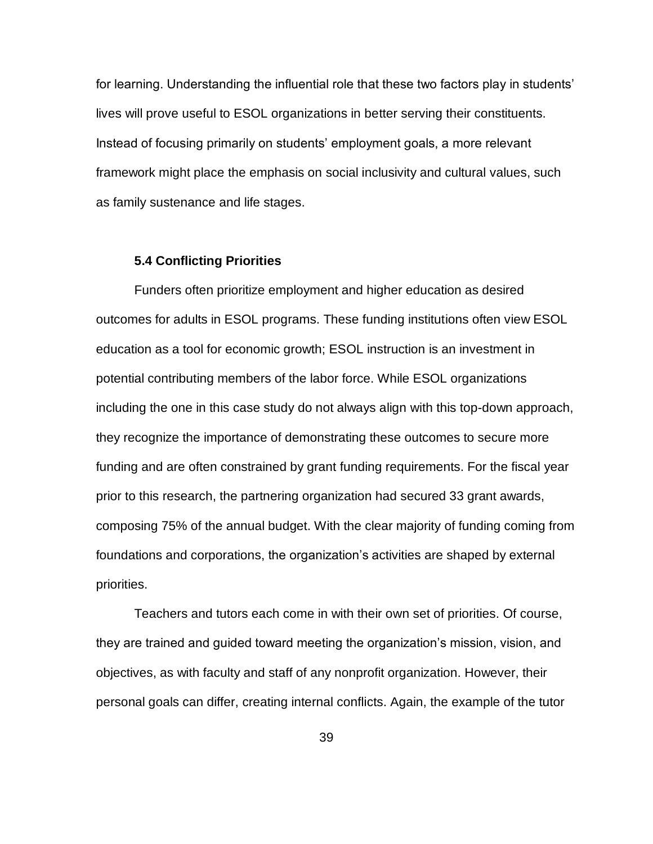for learning. Understanding the influential role that these two factors play in students' lives will prove useful to ESOL organizations in better serving their constituents. Instead of focusing primarily on students' employment goals, a more relevant framework might place the emphasis on social inclusivity and cultural values, such as family sustenance and life stages.

#### **5.4 Conflicting Priorities**

Funders often prioritize employment and higher education as desired outcomes for adults in ESOL programs. These funding institutions often view ESOL education as a tool for economic growth; ESOL instruction is an investment in potential contributing members of the labor force. While ESOL organizations including the one in this case study do not always align with this top-down approach, they recognize the importance of demonstrating these outcomes to secure more funding and are often constrained by grant funding requirements. For the fiscal year prior to this research, the partnering organization had secured 33 grant awards, composing 75% of the annual budget. With the clear majority of funding coming from foundations and corporations, the organization's activities are shaped by external priorities.

Teachers and tutors each come in with their own set of priorities. Of course, they are trained and guided toward meeting the organization's mission, vision, and objectives, as with faculty and staff of any nonprofit organization. However, their personal goals can differ, creating internal conflicts. Again, the example of the tutor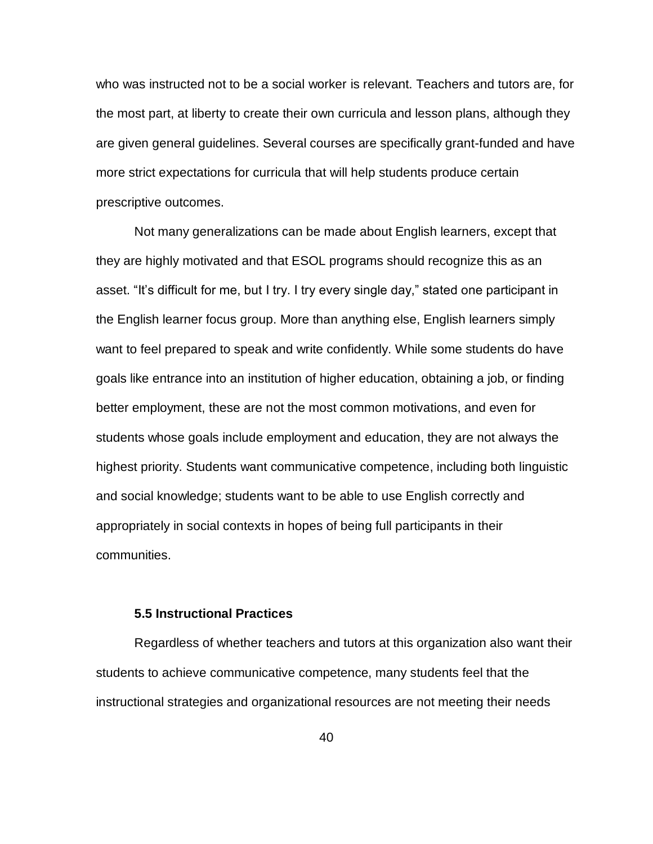who was instructed not to be a social worker is relevant. Teachers and tutors are, for the most part, at liberty to create their own curricula and lesson plans, although they are given general guidelines. Several courses are specifically grant-funded and have more strict expectations for curricula that will help students produce certain prescriptive outcomes.

Not many generalizations can be made about English learners, except that they are highly motivated and that ESOL programs should recognize this as an asset. "It's difficult for me, but I try. I try every single day," stated one participant in the English learner focus group. More than anything else, English learners simply want to feel prepared to speak and write confidently. While some students do have goals like entrance into an institution of higher education, obtaining a job, or finding better employment, these are not the most common motivations, and even for students whose goals include employment and education, they are not always the highest priority. Students want communicative competence, including both linguistic and social knowledge; students want to be able to use English correctly and appropriately in social contexts in hopes of being full participants in their communities.

#### **5.5 Instructional Practices**

Regardless of whether teachers and tutors at this organization also want their students to achieve communicative competence, many students feel that the instructional strategies and organizational resources are not meeting their needs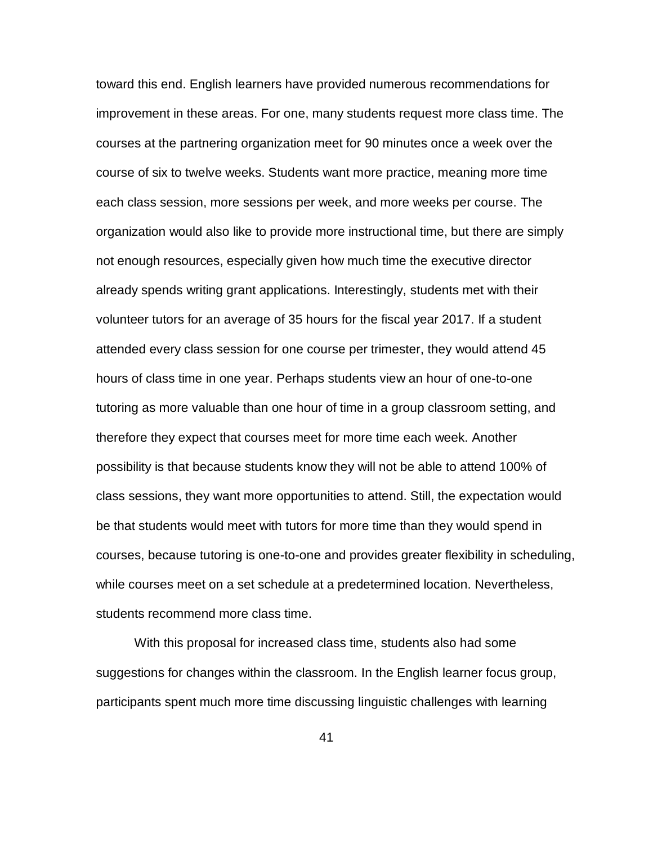toward this end. English learners have provided numerous recommendations for improvement in these areas. For one, many students request more class time. The courses at the partnering organization meet for 90 minutes once a week over the course of six to twelve weeks. Students want more practice, meaning more time each class session, more sessions per week, and more weeks per course. The organization would also like to provide more instructional time, but there are simply not enough resources, especially given how much time the executive director already spends writing grant applications. Interestingly, students met with their volunteer tutors for an average of 35 hours for the fiscal year 2017. If a student attended every class session for one course per trimester, they would attend 45 hours of class time in one year. Perhaps students view an hour of one-to-one tutoring as more valuable than one hour of time in a group classroom setting, and therefore they expect that courses meet for more time each week. Another possibility is that because students know they will not be able to attend 100% of class sessions, they want more opportunities to attend. Still, the expectation would be that students would meet with tutors for more time than they would spend in courses, because tutoring is one-to-one and provides greater flexibility in scheduling, while courses meet on a set schedule at a predetermined location. Nevertheless, students recommend more class time.

With this proposal for increased class time, students also had some suggestions for changes within the classroom. In the English learner focus group, participants spent much more time discussing linguistic challenges with learning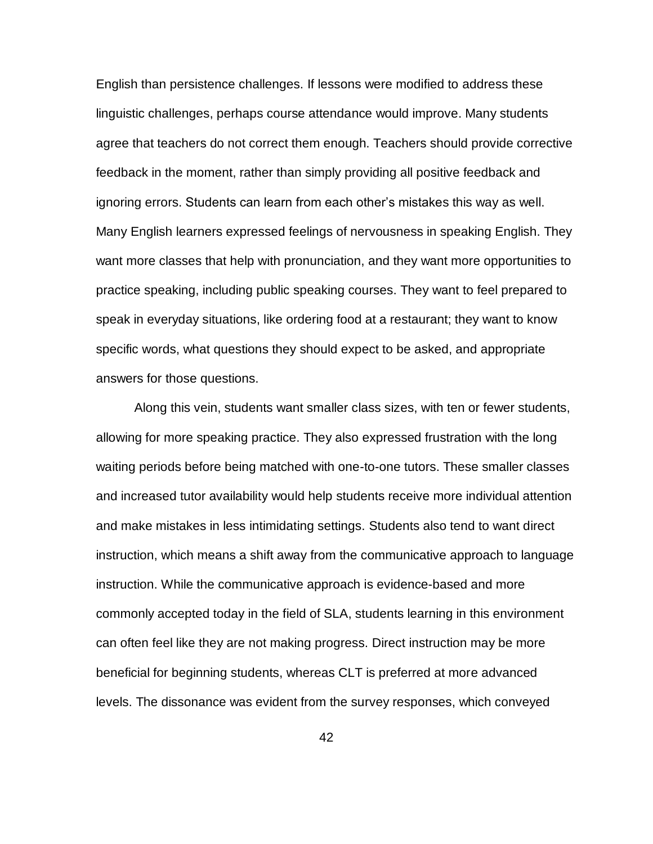English than persistence challenges. If lessons were modified to address these linguistic challenges, perhaps course attendance would improve. Many students agree that teachers do not correct them enough. Teachers should provide corrective feedback in the moment, rather than simply providing all positive feedback and ignoring errors. Students can learn from each other's mistakes this way as well. Many English learners expressed feelings of nervousness in speaking English. They want more classes that help with pronunciation, and they want more opportunities to practice speaking, including public speaking courses. They want to feel prepared to speak in everyday situations, like ordering food at a restaurant; they want to know specific words, what questions they should expect to be asked, and appropriate answers for those questions.

Along this vein, students want smaller class sizes, with ten or fewer students, allowing for more speaking practice. They also expressed frustration with the long waiting periods before being matched with one-to-one tutors. These smaller classes and increased tutor availability would help students receive more individual attention and make mistakes in less intimidating settings. Students also tend to want direct instruction, which means a shift away from the communicative approach to language instruction. While the communicative approach is evidence-based and more commonly accepted today in the field of SLA, students learning in this environment can often feel like they are not making progress. Direct instruction may be more beneficial for beginning students, whereas CLT is preferred at more advanced levels. The dissonance was evident from the survey responses, which conveyed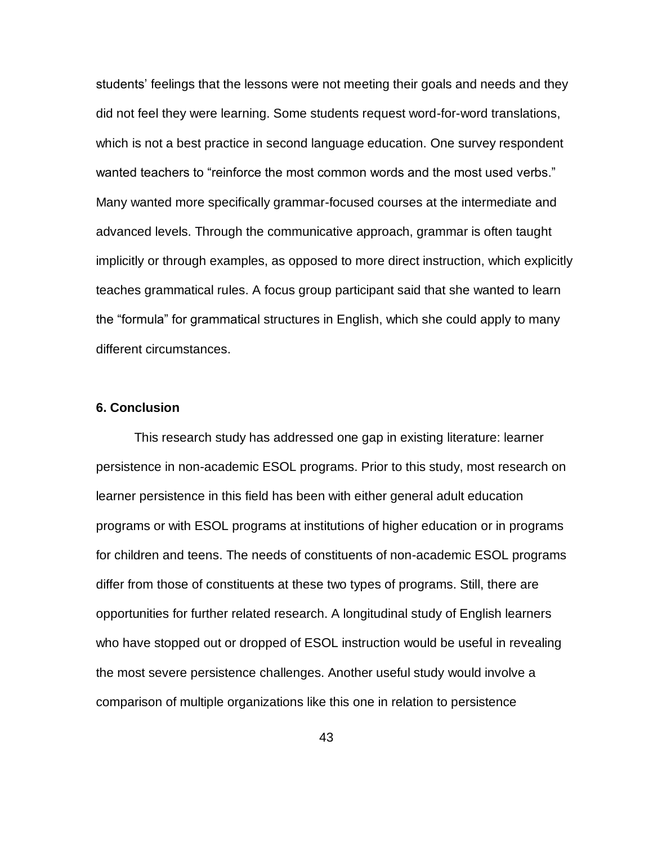students' feelings that the lessons were not meeting their goals and needs and they did not feel they were learning. Some students request word-for-word translations, which is not a best practice in second language education. One survey respondent wanted teachers to "reinforce the most common words and the most used verbs." Many wanted more specifically grammar-focused courses at the intermediate and advanced levels. Through the communicative approach, grammar is often taught implicitly or through examples, as opposed to more direct instruction, which explicitly teaches grammatical rules. A focus group participant said that she wanted to learn the "formula" for grammatical structures in English, which she could apply to many different circumstances.

#### **6. Conclusion**

This research study has addressed one gap in existing literature: learner persistence in non-academic ESOL programs. Prior to this study, most research on learner persistence in this field has been with either general adult education programs or with ESOL programs at institutions of higher education or in programs for children and teens. The needs of constituents of non-academic ESOL programs differ from those of constituents at these two types of programs. Still, there are opportunities for further related research. A longitudinal study of English learners who have stopped out or dropped of ESOL instruction would be useful in revealing the most severe persistence challenges. Another useful study would involve a comparison of multiple organizations like this one in relation to persistence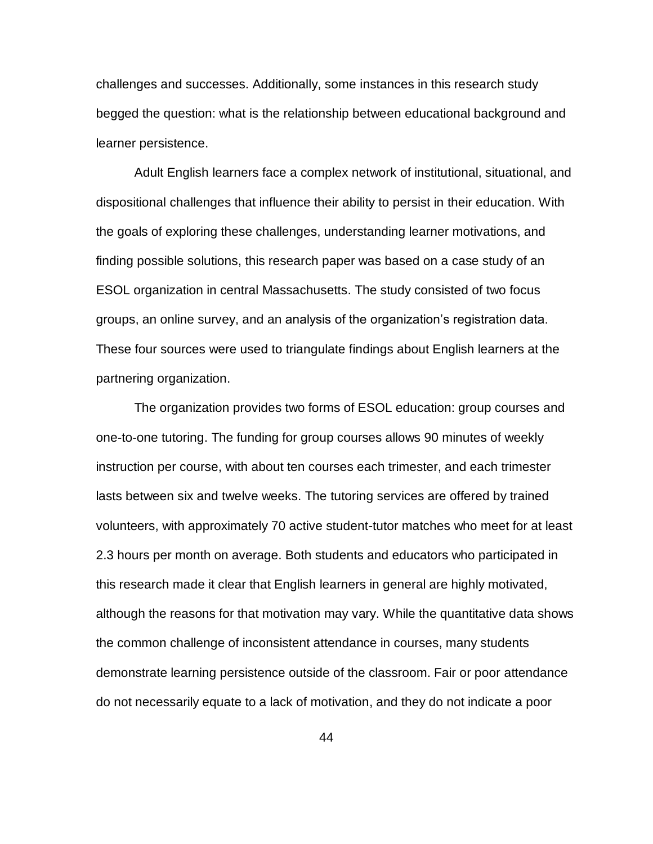challenges and successes. Additionally, some instances in this research study begged the question: what is the relationship between educational background and learner persistence.

Adult English learners face a complex network of institutional, situational, and dispositional challenges that influence their ability to persist in their education. With the goals of exploring these challenges, understanding learner motivations, and finding possible solutions, this research paper was based on a case study of an ESOL organization in central Massachusetts. The study consisted of two focus groups, an online survey, and an analysis of the organization's registration data. These four sources were used to triangulate findings about English learners at the partnering organization.

The organization provides two forms of ESOL education: group courses and one-to-one tutoring. The funding for group courses allows 90 minutes of weekly instruction per course, with about ten courses each trimester, and each trimester lasts between six and twelve weeks. The tutoring services are offered by trained volunteers, with approximately 70 active student-tutor matches who meet for at least 2.3 hours per month on average. Both students and educators who participated in this research made it clear that English learners in general are highly motivated, although the reasons for that motivation may vary. While the quantitative data shows the common challenge of inconsistent attendance in courses, many students demonstrate learning persistence outside of the classroom. Fair or poor attendance do not necessarily equate to a lack of motivation, and they do not indicate a poor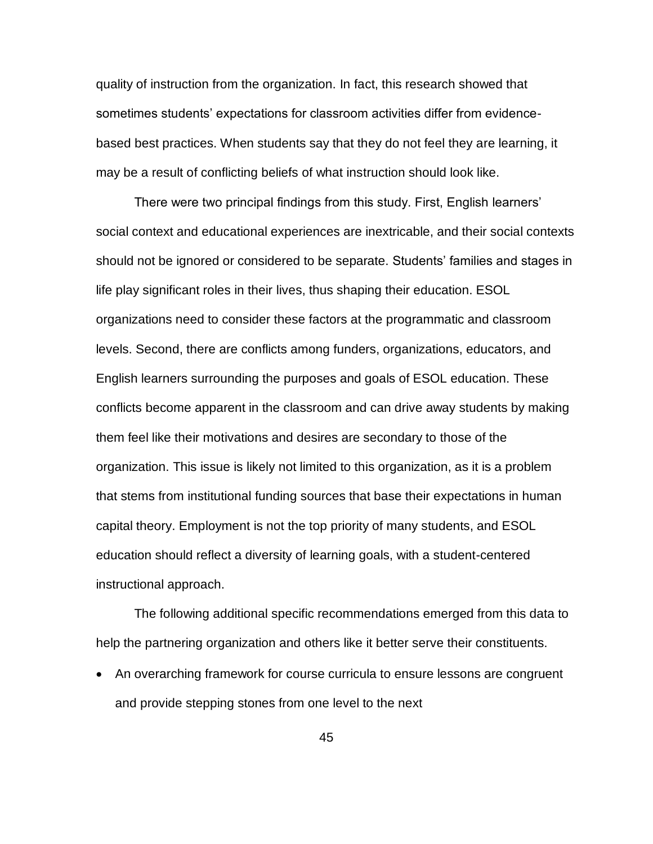quality of instruction from the organization. In fact, this research showed that sometimes students' expectations for classroom activities differ from evidencebased best practices. When students say that they do not feel they are learning, it may be a result of conflicting beliefs of what instruction should look like.

There were two principal findings from this study. First, English learners' social context and educational experiences are inextricable, and their social contexts should not be ignored or considered to be separate. Students' families and stages in life play significant roles in their lives, thus shaping their education. ESOL organizations need to consider these factors at the programmatic and classroom levels. Second, there are conflicts among funders, organizations, educators, and English learners surrounding the purposes and goals of ESOL education. These conflicts become apparent in the classroom and can drive away students by making them feel like their motivations and desires are secondary to those of the organization. This issue is likely not limited to this organization, as it is a problem that stems from institutional funding sources that base their expectations in human capital theory. Employment is not the top priority of many students, and ESOL education should reflect a diversity of learning goals, with a student-centered instructional approach.

The following additional specific recommendations emerged from this data to help the partnering organization and others like it better serve their constituents.

• An overarching framework for course curricula to ensure lessons are congruent and provide stepping stones from one level to the next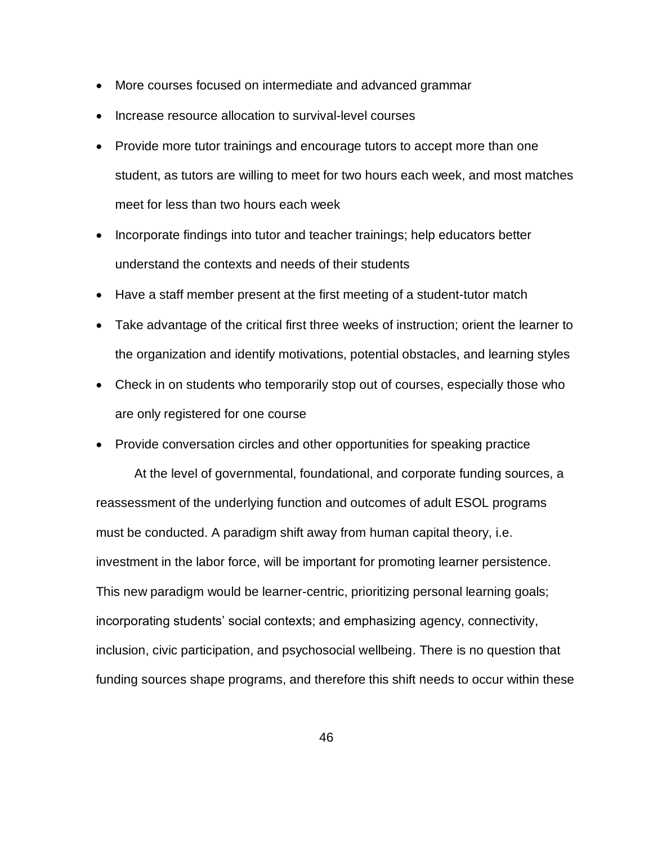- More courses focused on intermediate and advanced grammar
- Increase resource allocation to survival-level courses
- Provide more tutor trainings and encourage tutors to accept more than one student, as tutors are willing to meet for two hours each week, and most matches meet for less than two hours each week
- Incorporate findings into tutor and teacher trainings; help educators better understand the contexts and needs of their students
- Have a staff member present at the first meeting of a student-tutor match
- Take advantage of the critical first three weeks of instruction; orient the learner to the organization and identify motivations, potential obstacles, and learning styles
- Check in on students who temporarily stop out of courses, especially those who are only registered for one course
- Provide conversation circles and other opportunities for speaking practice

At the level of governmental, foundational, and corporate funding sources, a reassessment of the underlying function and outcomes of adult ESOL programs must be conducted. A paradigm shift away from human capital theory, i.e. investment in the labor force, will be important for promoting learner persistence. This new paradigm would be learner-centric, prioritizing personal learning goals; incorporating students' social contexts; and emphasizing agency, connectivity, inclusion, civic participation, and psychosocial wellbeing. There is no question that funding sources shape programs, and therefore this shift needs to occur within these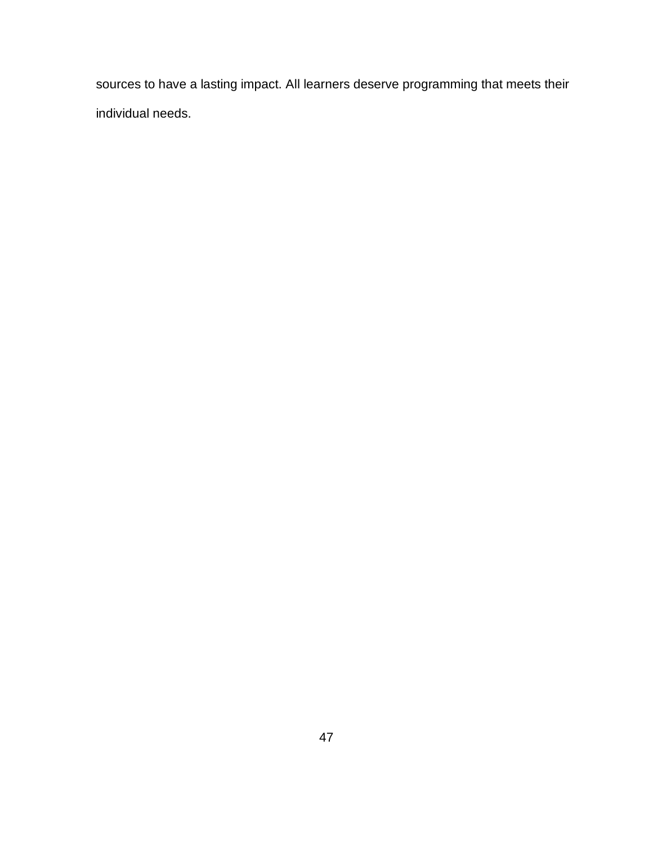sources to have a lasting impact. All learners deserve programming that meets their individual needs.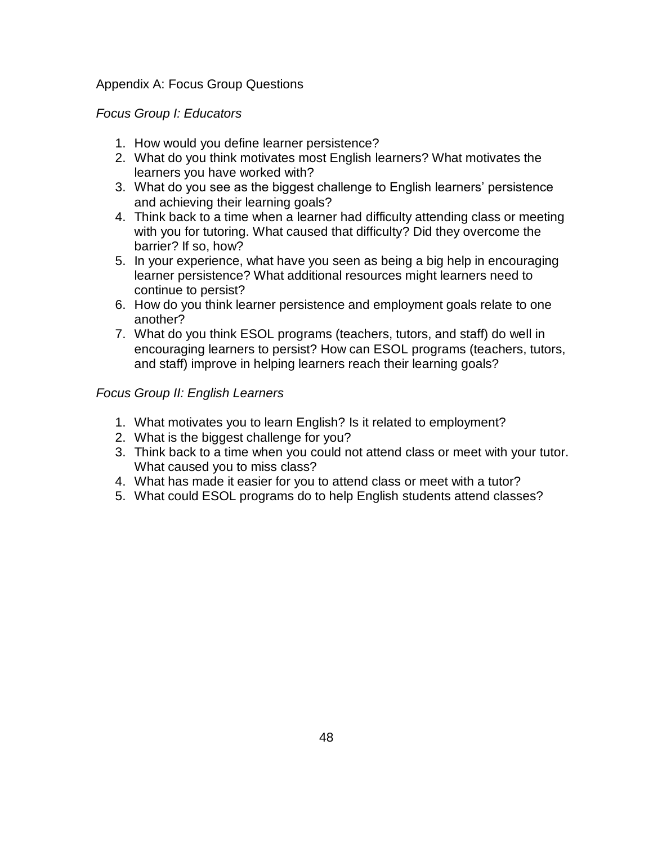# Appendix A: Focus Group Questions

# *Focus Group I: Educators*

- 1. How would you define learner persistence?
- 2. What do you think motivates most English learners? What motivates the learners you have worked with?
- 3. What do you see as the biggest challenge to English learners' persistence and achieving their learning goals?
- 4. Think back to a time when a learner had difficulty attending class or meeting with you for tutoring. What caused that difficulty? Did they overcome the barrier? If so, how?
- 5. In your experience, what have you seen as being a big help in encouraging learner persistence? What additional resources might learners need to continue to persist?
- 6. How do you think learner persistence and employment goals relate to one another?
- 7. What do you think ESOL programs (teachers, tutors, and staff) do well in encouraging learners to persist? How can ESOL programs (teachers, tutors, and staff) improve in helping learners reach their learning goals?

# *Focus Group II: English Learners*

- 1. What motivates you to learn English? Is it related to employment?
- 2. What is the biggest challenge for you?
- 3. Think back to a time when you could not attend class or meet with your tutor. What caused you to miss class?
- 4. What has made it easier for you to attend class or meet with a tutor?
- 5. What could ESOL programs do to help English students attend classes?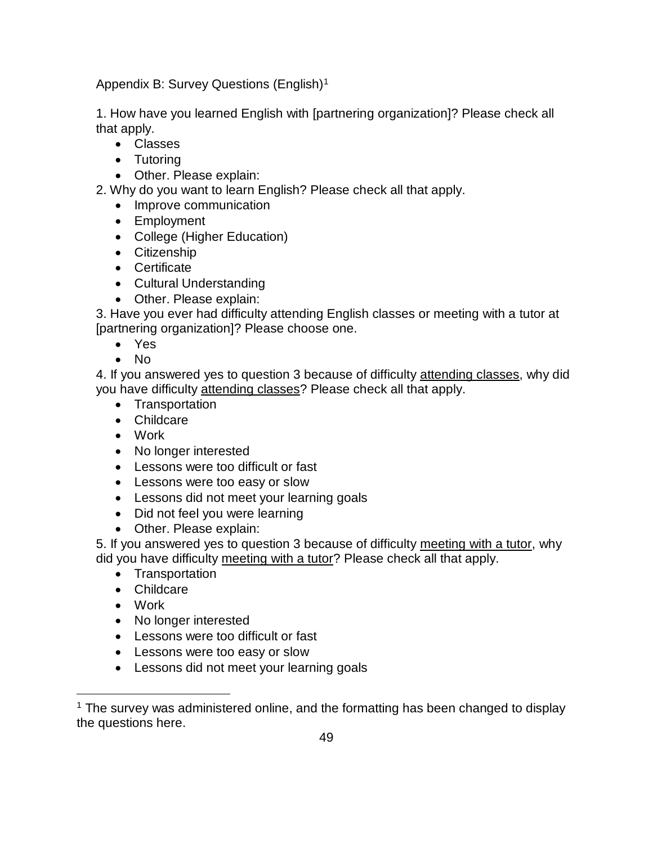Appendix B: Survey Questions (English)<sup>1</sup>

1. How have you learned English with [partnering organization]? Please check all that apply.

- Classes
- Tutoring
- Other. Please explain:

2. Why do you want to learn English? Please check all that apply.

- Improve communication
- Employment
- College (Higher Education)
- Citizenship
- Certificate
- Cultural Understanding
- Other. Please explain:

3. Have you ever had difficulty attending English classes or meeting with a tutor at [partnering organization]? Please choose one.

- Yes
- No

4. If you answered yes to question 3 because of difficulty attending classes, why did you have difficulty attending classes? Please check all that apply.

- Transportation
- Childcare
- Work
- No longer interested
- Lessons were too difficult or fast
- Lessons were too easy or slow
- Lessons did not meet your learning goals
- Did not feel you were learning
- Other. Please explain:

5. If you answered yes to question 3 because of difficulty meeting with a tutor, why did you have difficulty meeting with a tutor? Please check all that apply.

- Transportation
- Childcare
- Work

 $\overline{a}$ 

- No longer interested
- Lessons were too difficult or fast
- Lessons were too easy or slow
- Lessons did not meet your learning goals

 $1$  The survey was administered online, and the formatting has been changed to display the questions here.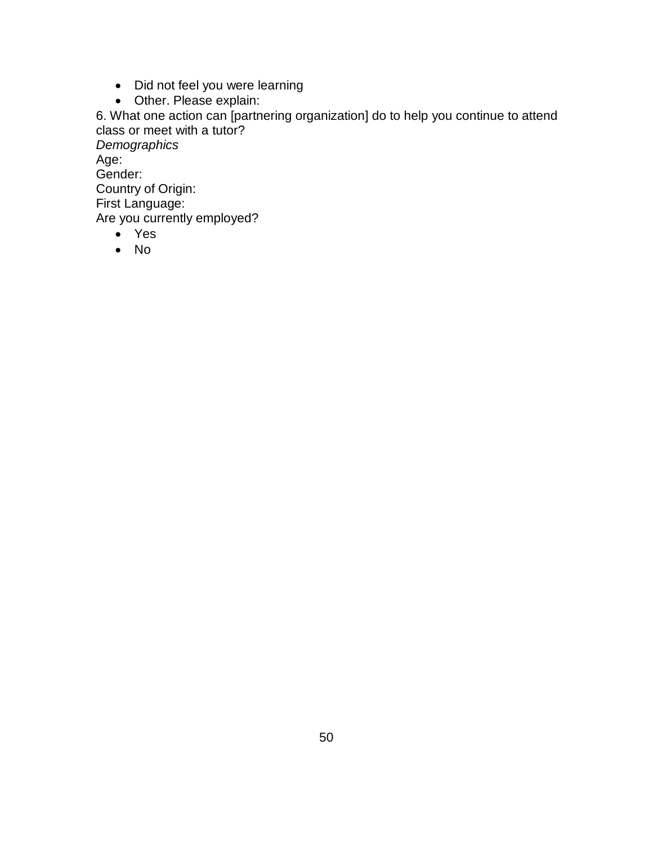- Did not feel you were learning
- Other. Please explain:

6. What one action can [partnering organization] do to help you continue to attend class or meet with a tutor?

*Demographics* Age: Gender: Country of Origin: First Language: Are you currently employed?

- Yes
- No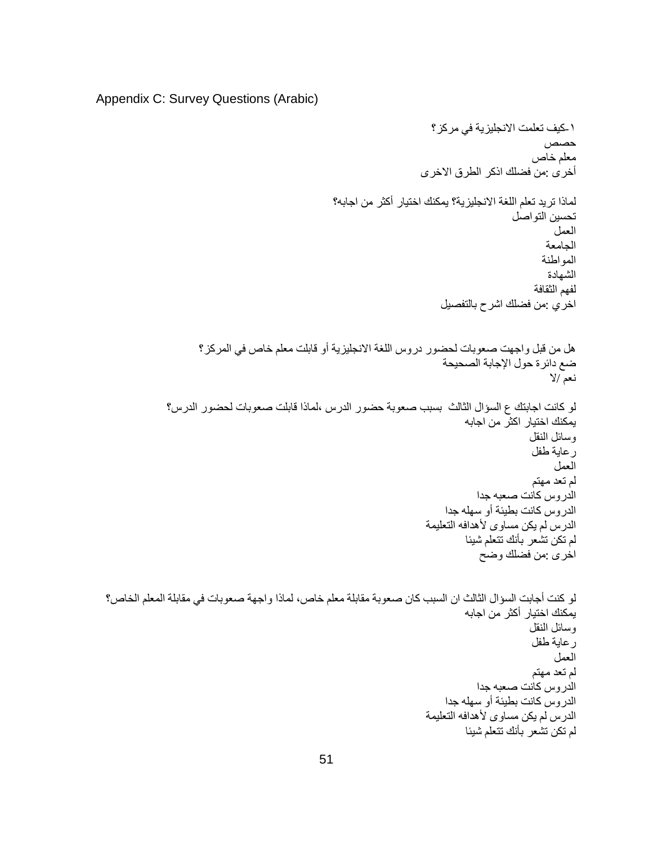```
Appendix C: Survey Questions (Arabic)
```

```
-١كيف تعلمت االنجليزية في مركز؟
                                                                                                حصص
                                                                                              معلم خاص
                                                                     أخرى :من فضلك اذكر الطرق االخرى
                                                  لماذا تريد تعلم اللغة االنجليزية؟ يمكنك اختيار أكثر من اجابه؟
                                                                                          تحسين التواصل
                                                                                                  العمل
                                                                                                 الجامعة
                                                                                                المواطنة
                                                                                                 الشهادة
                                                                                              لفهم الثقافة
                                                                          اخري :من فضلك اشرح بالتفصيل
                    هل من قبل واجهت صعوبات لحضور دروس اللغة االنجليزية أو قابلت معلم خاص في المركز؟
                                                                          ضع دائرة حول الإجابة الصحيحة
                                                                                                  نعم /ال
             لو كانت اجابتك ع السؤال الثالث بسبب صعوبة حضور الدرس ،لماذا قابلت صعوبات لحضور الدرس؟
                                                                               يمكنك اختيار اكثر من اجابه
                                                                                             وسائل النقل
                                                                                              رعاية طفل
                                                                                                   العمل
                                                                                              لم تعد مهتم
                                                                                 الدروس كانت صعبه جدا
                                                                          الدروس كانت بطيئة أو سهله جدا
                                                                      الدرس لم يكن مساوى لأهدافه التعليمة
                                                                               لم تكن تشعر بأنك تتعلم شيئا
                                                                                  اخرى :من فضلك وضح
لو كنت أجابت السؤال الثالث ان السبب كان صعوبة مقابلة معلم خاص، لماذا واجهة صعوبات في مقابلة المعلم الخاص؟
                                                                               يمكنك اختيار أكثر من اجابه
                                                                                             وسائل النقل
                                                                                              رعاية طفل
                                                                                                  العمل
                                                                                              لم تعد مهتم
                                                                                 الدروس كانت صعبه جدا
                                                                          الدروس كانت بطيئة أو سهله جدا
                                                                      الدرس لم يكن مساوى لأهدافه التعليمة
                                                                               لم تكن تشعر بأنك تتعلم شيئا
```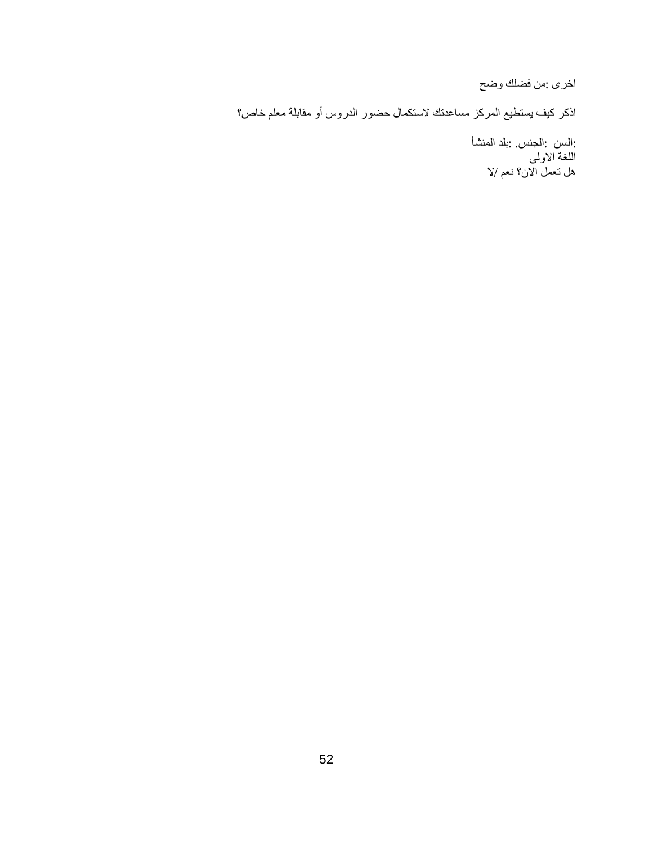اخرى :من فضلك وضح

اذكر كيف يستطيع المركز مساعدتك الستكمال حضور الدروس أو مقابلة معلم خاص؟

 :السن :الجنس. :بلد المنشأ اللغة االولى هل تعمل االن؟ نعم /ال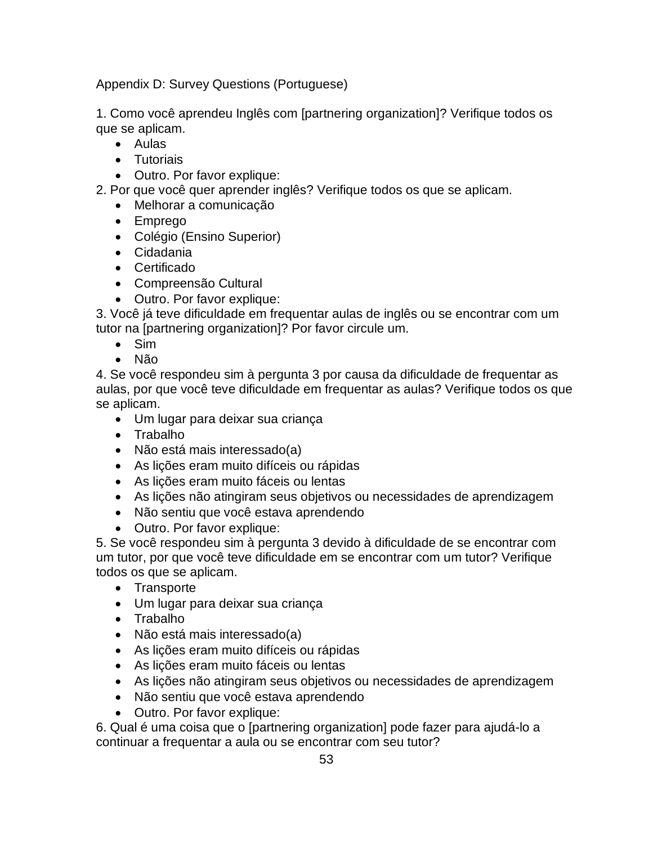Appendix D: Survey Questions (Portuguese)

1. Como você aprendeu Inglês com [partnering organization]? Verifique todos os que se aplicam.

- Aulas
- Tutoriais
- Outro. Por favor explique:

2. Por que você quer aprender inglês? Verifique todos os que se aplicam.

- Melhorar a comunicação
- Emprego
- Colégio (Ensino Superior)
- Cidadania
- Certificado
- Compreensão Cultural
- Outro. Por favor explique:

3. Você já teve dificuldade em frequentar aulas de inglês ou se encontrar com um tutor na [partnering organization]? Por favor circule um.

- Sim
- Não

4. Se você respondeu sim à pergunta 3 por causa da dificuldade de frequentar as aulas, por que você teve dificuldade em frequentar as aulas? Verifique todos os que se aplicam.

- Um lugar para deixar sua criança
- Trabalho
- Não está mais interessado(a)
- As lições eram muito difíceis ou rápidas
- As lições eram muito fáceis ou lentas
- As lições não atingiram seus objetivos ou necessidades de aprendizagem
- Não sentiu que você estava aprendendo
- Outro. Por favor explique:

5. Se você respondeu sim à pergunta 3 devido à dificuldade de se encontrar com um tutor, por que você teve dificuldade em se encontrar com um tutor? Verifique todos os que se aplicam.

- Transporte
- Um lugar para deixar sua criança
- Trabalho
- Não está mais interessado(a)
- As lições eram muito difíceis ou rápidas
- As lições eram muito fáceis ou lentas
- As lições não atingiram seus objetivos ou necessidades de aprendizagem
- Não sentiu que você estava aprendendo
- Outro. Por favor explique:

6. Qual é uma coisa que o [partnering organization] pode fazer para ajudá-lo a continuar a frequentar a aula ou se encontrar com seu tutor?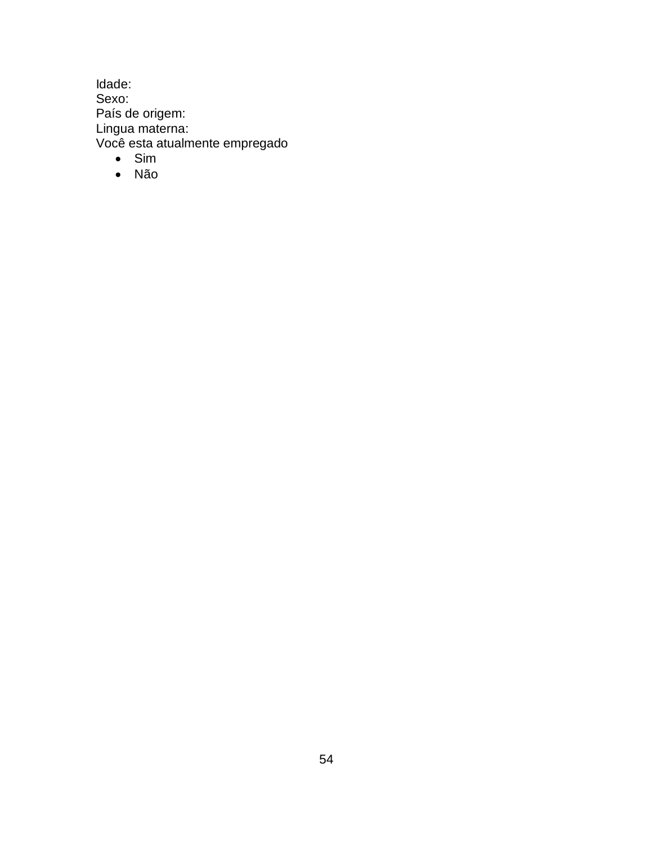Idade: Sexo: País de origem: Lingua materna: Você esta atualmente empregado

- Sim
- Não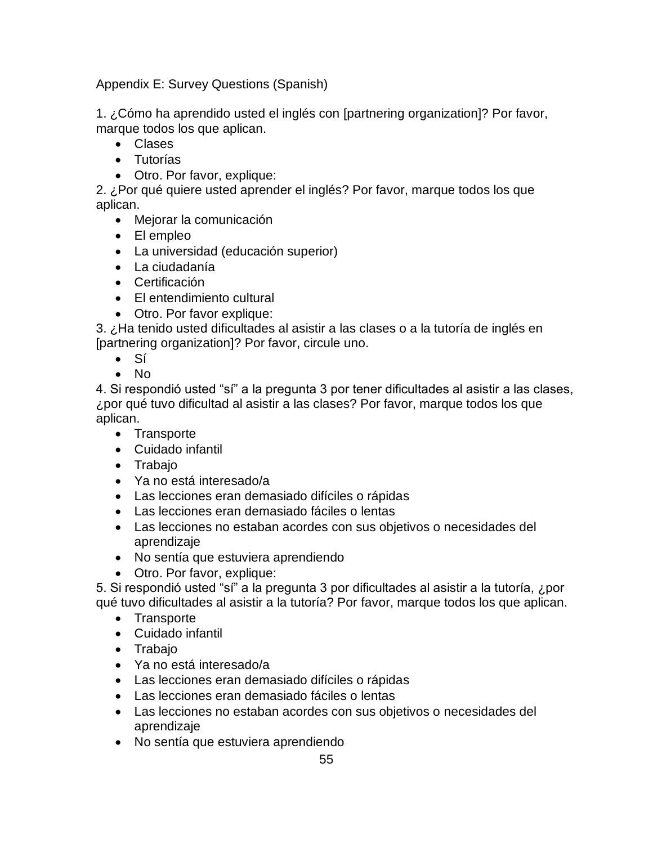Appendix E: Survey Questions (Spanish)

1. ¿Cómo ha aprendido usted el inglés con [partnering organization]? Por favor, marque todos los que aplican.

- Clases
- Tutorías
- Otro. Por favor, explique:

2. ¿Por qué quiere usted aprender el inglés? Por favor, marque todos los que aplican.

- Mejorar la comunicación
- El empleo
- La universidad (educación superior)
- La ciudadanía
- Certificación
- El entendimiento cultural
- Otro. Por favor explique:

3. ¿Ha tenido usted dificultades al asistir a las clases o a la tutoría de inglés en [partnering organization]? Por favor, circule uno.

- Sí
- No

4. Si respondió usted "sí" a la pregunta 3 por tener dificultades al asistir a las clases, ¿por qué tuvo dificultad al asistir a las clases? Por favor, marque todos los que aplican.

- Transporte
- Cuidado infantil
- Trabajo
- Ya no está interesado/a
- Las lecciones eran demasiado difíciles o rápidas
- Las lecciones eran demasiado fáciles o lentas
- Las lecciones no estaban acordes con sus objetivos o necesidades del aprendizaje
- No sentía que estuviera aprendiendo
- Otro. Por favor, explique:

5. Si respondió usted "sí" a la pregunta 3 por dificultades al asistir a la tutoría, ¿por qué tuvo dificultades al asistir a la tutoría? Por favor, marque todos los que aplican.

- Transporte
- Cuidado infantil
- Trabajo
- Ya no está interesado/a
- Las lecciones eran demasiado difíciles o rápidas
- Las lecciones eran demasiado fáciles o lentas
- Las lecciones no estaban acordes con sus objetivos o necesidades del aprendizaje
- No sentía que estuviera aprendiendo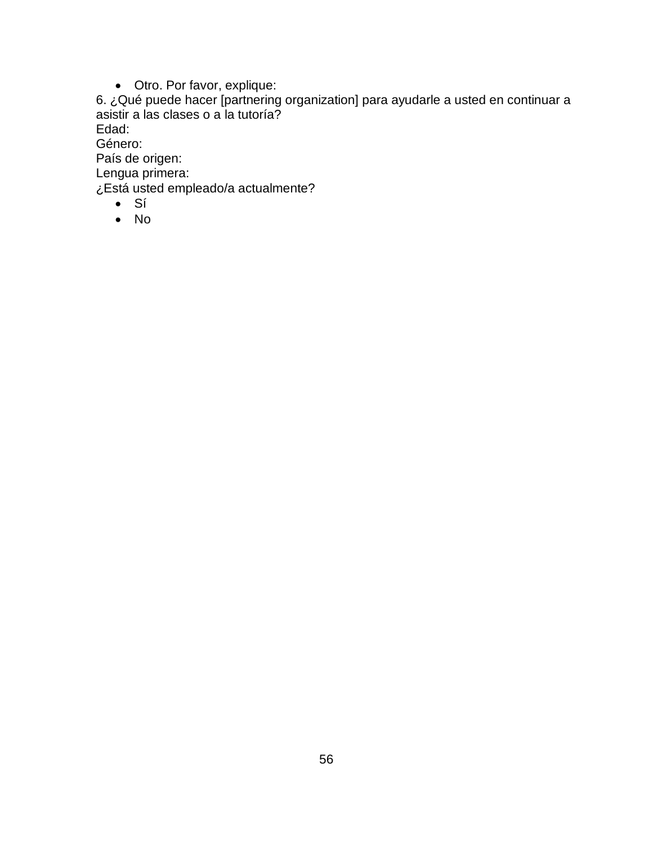• Otro. Por favor, explique:

6. ¿Qué puede hacer [partnering organization] para ayudarle a usted en continuar a asistir a las clases o a la tutoría?

Edad:

Género:

País de origen:

Lengua primera:

¿Está usted empleado/a actualmente?

- Sí
- No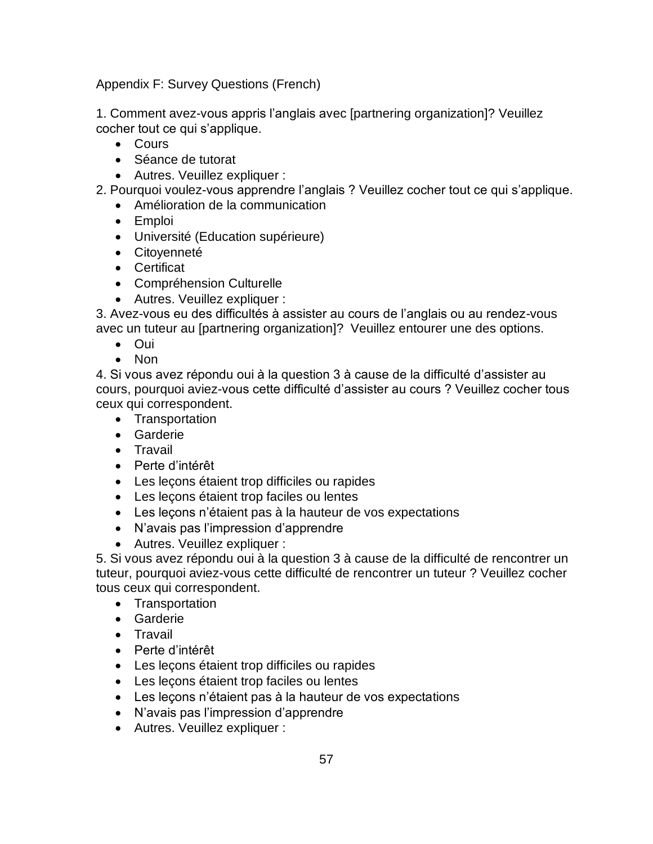Appendix F: Survey Questions (French)

1. Comment avez-vous appris l'anglais avec [partnering organization]? Veuillez cocher tout ce qui s'applique.

- Cours
- Séance de tutorat
- Autres. Veuillez expliquer :

2. Pourquoi voulez-vous apprendre l'anglais ? Veuillez cocher tout ce qui s'applique.

- Amélioration de la communication
- Emploi
- Université (Education supérieure)
- Citoyenneté
- Certificat
- Compréhension Culturelle
- Autres. Veuillez expliquer :

3. Avez-vous eu des difficultés à assister au cours de l'anglais ou au rendez-vous avec un tuteur au [partnering organization]? Veuillez entourer une des options.

- Oui
- Non

4. Si vous avez répondu oui à la question 3 à cause de la difficulté d'assister au cours, pourquoi aviez-vous cette difficulté d'assister au cours ? Veuillez cocher tous ceux qui correspondent.

- Transportation
- Garderie
- Travail
- Perte d'intérêt
- Les leçons étaient trop difficiles ou rapides
- Les leçons étaient trop faciles ou lentes
- Les leçons n'étaient pas à la hauteur de vos expectations
- N'avais pas l'impression d'apprendre
- Autres. Veuillez expliquer :

5. Si vous avez répondu oui à la question 3 à cause de la difficulté de rencontrer un tuteur, pourquoi aviez-vous cette difficulté de rencontrer un tuteur ? Veuillez cocher tous ceux qui correspondent.

- Transportation
- Garderie
- Travail
- Perte d'intérêt
- Les leçons étaient trop difficiles ou rapides
- Les leçons étaient trop faciles ou lentes
- Les leçons n'étaient pas à la hauteur de vos expectations
- N'avais pas l'impression d'apprendre
- Autres. Veuillez expliquer :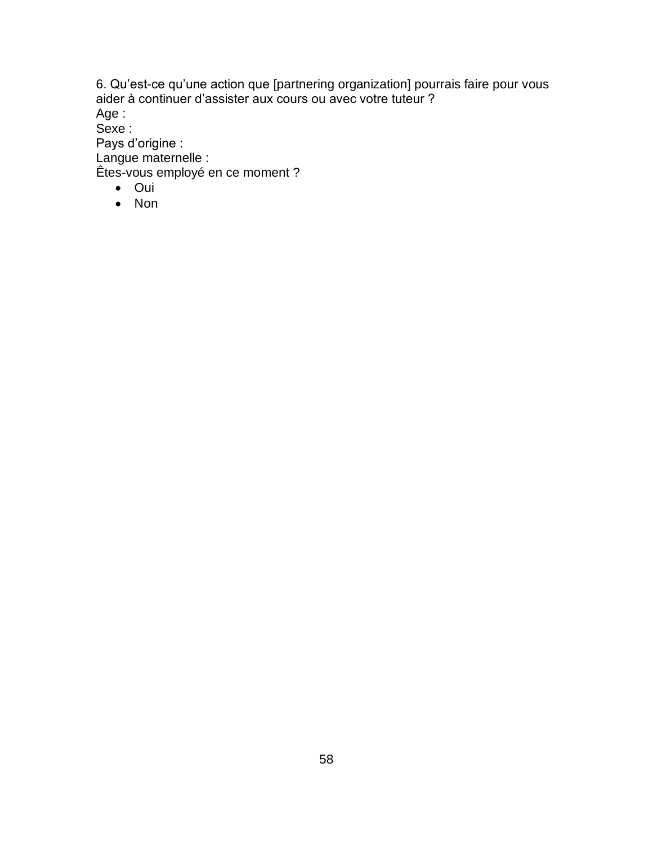6. Qu'est-ce qu'une action que [partnering organization] pourrais faire pour vous aider à continuer d'assister aux cours ou avec votre tuteur ?

Age :

Sexe :

Pays d'origine :

Langue maternelle :

Êtes-vous employé en ce moment ?

- Oui
- Non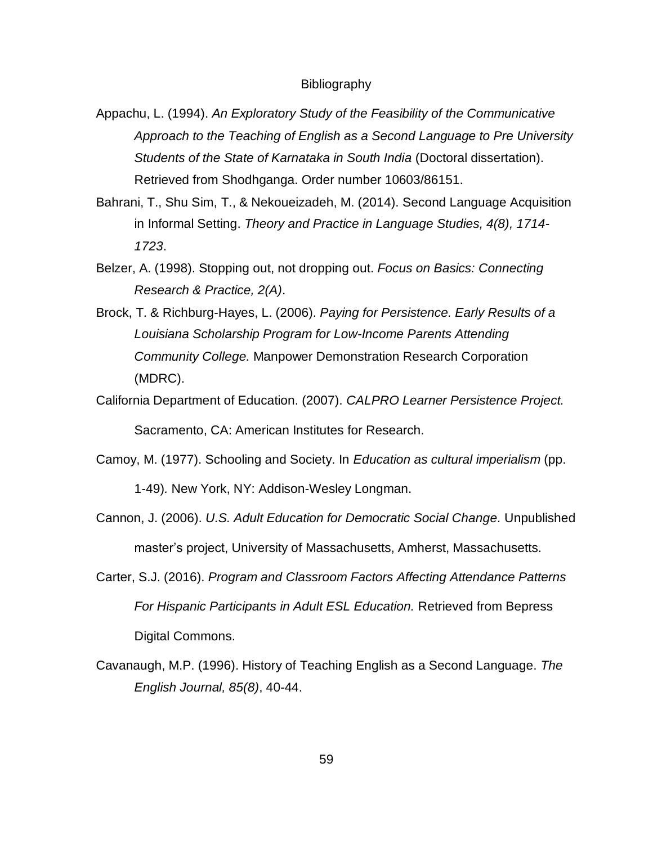#### **Bibliography**

- Appachu, L. (1994). *An Exploratory Study of the Feasibility of the Communicative Approach to the Teaching of English as a Second Language to Pre University Students of the State of Karnataka in South India* (Doctoral dissertation). Retrieved from Shodhganga. Order number 10603/86151.
- Bahrani, T., Shu Sim, T., & Nekoueizadeh, M. (2014). Second Language Acquisition in Informal Setting. *Theory and Practice in Language Studies, 4(8), 1714- 1723*.
- Belzer, A. (1998). Stopping out, not dropping out. *Focus on Basics: Connecting Research & Practice, 2(A)*.
- Brock, T. & Richburg-Hayes, L. (2006). *Paying for Persistence. Early Results of a Louisiana Scholarship Program for Low-Income Parents Attending Community College.* Manpower Demonstration Research Corporation (MDRC).
- California Department of Education. (2007). *CALPRO Learner Persistence Project.* Sacramento, CA: American Institutes for Research.
- Camoy, M. (1977). Schooling and Society. In *Education as cultural imperialism* (pp.

1-49)*.* New York, NY: Addison-Wesley Longman.

- Cannon, J. (2006). *U.S. Adult Education for Democratic Social Change.* Unpublished master's project, University of Massachusetts, Amherst, Massachusetts.
- Carter, S.J. (2016). *Program and Classroom Factors Affecting Attendance Patterns For Hispanic Participants in Adult ESL Education.* Retrieved from Bepress Digital Commons.
- Cavanaugh, M.P. (1996). History of Teaching English as a Second Language. *The English Journal, 85(8)*, 40-44.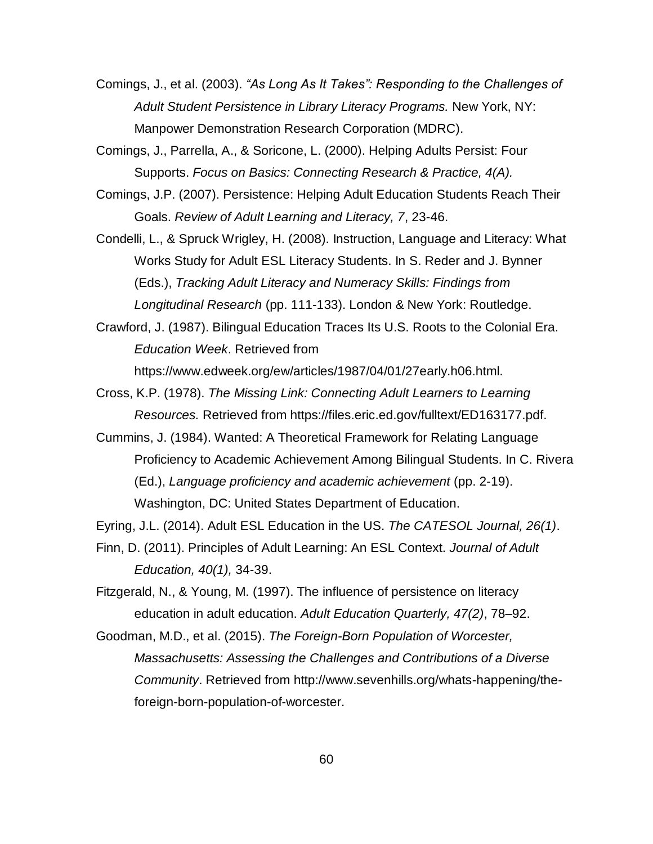Comings, J., et al. (2003). *"As Long As It Takes": Responding to the Challenges of Adult Student Persistence in Library Literacy Programs.* New York, NY: Manpower Demonstration Research Corporation (MDRC).

Comings, J., Parrella, A., & Soricone, L. (2000). Helping Adults Persist: Four Supports. *Focus on Basics: Connecting Research & Practice, 4(A).*

Comings, J.P. (2007). Persistence: Helping Adult Education Students Reach Their Goals. *Review of Adult Learning and Literacy, 7*, 23-46.

Condelli, L., & Spruck Wrigley, H. (2008). Instruction, Language and Literacy: What Works Study for Adult ESL Literacy Students. In S. Reder and J. Bynner (Eds.), *Tracking Adult Literacy and Numeracy Skills: Findings from Longitudinal Research* (pp. 111-133). London & New York: Routledge.

Crawford, J. (1987). Bilingual Education Traces Its U.S. Roots to the Colonial Era. *Education Week*. Retrieved from

https://www.edweek.org/ew/articles/1987/04/01/27early.h06.html.

- Cross, K.P. (1978). *The Missing Link: Connecting Adult Learners to Learning Resources.* Retrieved from https://files.eric.ed.gov/fulltext/ED163177.pdf.
- Cummins, J. (1984). Wanted: A Theoretical Framework for Relating Language Proficiency to Academic Achievement Among Bilingual Students. In C. Rivera (Ed.), *Language proficiency and academic achievement* (pp. 2-19). Washington, DC: United States Department of Education.

Eyring, J.L. (2014). Adult ESL Education in the US. *The CATESOL Journal, 26(1)*.

Finn, D. (2011). Principles of Adult Learning: An ESL Context. *Journal of Adult Education, 40(1),* 34-39.

Fitzgerald, N., & Young, M. (1997). The influence of persistence on literacy education in adult education. *Adult Education Quarterly, 47(2)*, 78–92.

Goodman, M.D., et al. (2015). *The Foreign-Born Population of Worcester, Massachusetts: Assessing the Challenges and Contributions of a Diverse Community*. Retrieved from http://www.sevenhills.org/whats-happening/theforeign-born-population-of-worcester.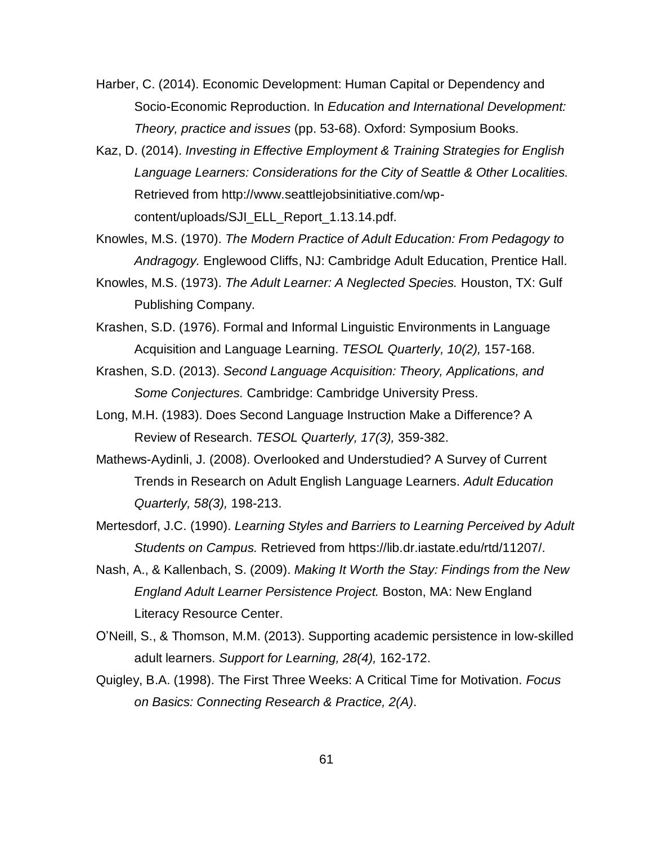- Harber, C. (2014). Economic Development: Human Capital or Dependency and Socio-Economic Reproduction. In *Education and International Development: Theory, practice and issues* (pp. 53-68). Oxford: Symposium Books.
- Kaz, D. (2014). *Investing in Effective Employment & Training Strategies for English Language Learners: Considerations for the City of Seattle & Other Localities.* Retrieved from http://www.seattlejobsinitiative.com/wpcontent/uploads/SJI\_ELL\_Report\_1.13.14.pdf.
- Knowles, M.S. (1970). *The Modern Practice of Adult Education: From Pedagogy to Andragogy.* Englewood Cliffs, NJ: Cambridge Adult Education, Prentice Hall.
- Knowles, M.S. (1973). *The Adult Learner: A Neglected Species.* Houston, TX: Gulf Publishing Company.
- Krashen, S.D. (1976). Formal and Informal Linguistic Environments in Language Acquisition and Language Learning. *TESOL Quarterly, 10(2),* 157-168.
- Krashen, S.D. (2013). *Second Language Acquisition: Theory, Applications, and Some Conjectures.* Cambridge: Cambridge University Press.
- Long, M.H. (1983). Does Second Language Instruction Make a Difference? A Review of Research. *TESOL Quarterly, 17(3),* 359-382.
- Mathews-Aydinli, J. (2008). Overlooked and Understudied? A Survey of Current Trends in Research on Adult English Language Learners. *Adult Education Quarterly, 58(3),* 198-213.
- Mertesdorf, J.C. (1990). *Learning Styles and Barriers to Learning Perceived by Adult Students on Campus.* Retrieved from https://lib.dr.iastate.edu/rtd/11207/.
- Nash, A., & Kallenbach, S. (2009). *Making It Worth the Stay: Findings from the New England Adult Learner Persistence Project.* Boston, MA: New England Literacy Resource Center.
- O'Neill, S., & Thomson, M.M. (2013). Supporting academic persistence in low-skilled adult learners. *Support for Learning, 28(4),* 162-172.
- Quigley, B.A. (1998). The First Three Weeks: A Critical Time for Motivation. *Focus on Basics: Connecting Research & Practice, 2(A)*.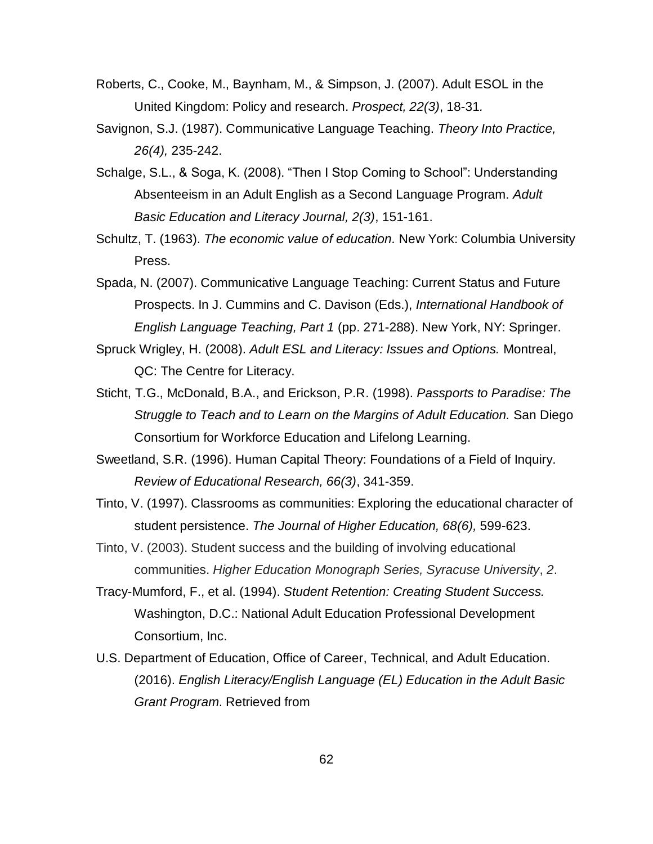- Roberts, C., Cooke, M., Baynham, M., & Simpson, J. (2007). Adult ESOL in the United Kingdom: Policy and research. *Prospect, 22(3)*, 18-31*.*
- Savignon, S.J. (1987). Communicative Language Teaching. *Theory Into Practice, 26(4),* 235-242.
- Schalge, S.L., & Soga, K. (2008). "Then I Stop Coming to School": Understanding Absenteeism in an Adult English as a Second Language Program. *Adult Basic Education and Literacy Journal, 2(3)*, 151-161.
- Schultz, T. (1963). *The economic value of education.* New York: Columbia University Press.

Spada, N. (2007). Communicative Language Teaching: Current Status and Future Prospects. In J. Cummins and C. Davison (Eds.), *International Handbook of English Language Teaching, Part 1* (pp. 271-288). New York, NY: Springer.

- Spruck Wrigley, H. (2008). *Adult ESL and Literacy: Issues and Options.* Montreal, QC: The Centre for Literacy.
- Sticht, T.G., McDonald, B.A., and Erickson, P.R. (1998). *Passports to Paradise: The Struggle to Teach and to Learn on the Margins of Adult Education.* San Diego Consortium for Workforce Education and Lifelong Learning.

Sweetland, S.R. (1996). Human Capital Theory: Foundations of a Field of Inquiry. *Review of Educational Research, 66(3)*, 341-359.

Tinto, V. (1997). Classrooms as communities: Exploring the educational character of student persistence. *The Journal of Higher Education, 68(6),* 599-623.

- Tinto, V. (2003). Student success and the building of involving educational communities. *Higher Education Monograph Series, Syracuse University*, *2*.
- Tracy-Mumford, F., et al. (1994). *Student Retention: Creating Student Success.* Washington, D.C.: National Adult Education Professional Development Consortium, Inc.
- U.S. Department of Education, Office of Career, Technical, and Adult Education. (2016). *English Literacy/English Language (EL) Education in the Adult Basic Grant Program*. Retrieved from